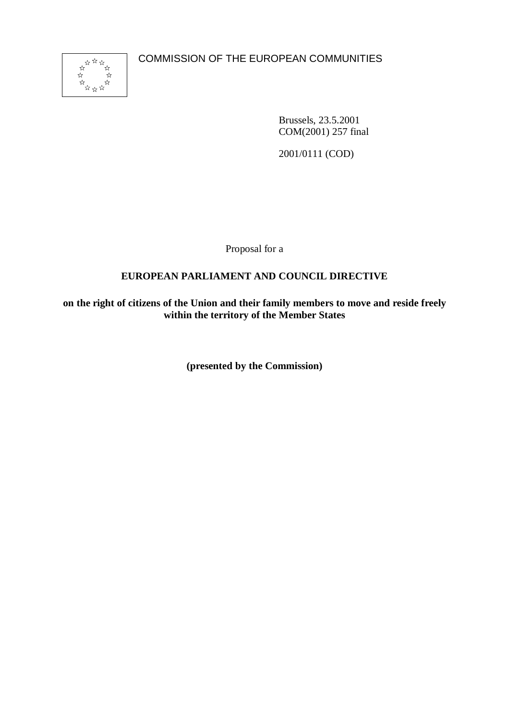COMMISSION OF THE EUROPEAN COMMUNITIES



Brussels, 23.5.2001 COM(2001) 257 final

2001/0111 (COD)

Proposal for a

## **EUROPEAN PARLIAMENT AND COUNCIL DIRECTIVE**

**on the right of citizens of the Union and their family members to move and reside freely within the territory of the Member States**

**(presented by the Commission)**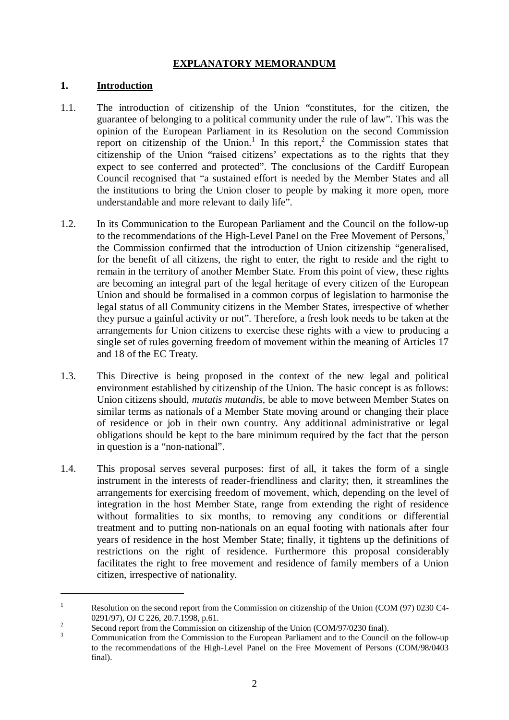## **EXPLANATORY MEMORANDUM**

#### **1. Introduction**

- 1.1. The introduction of citizenship of the Union "constitutes, for the citizen, the guarantee of belonging to a political community under the rule of law". This was the opinion of the European Parliament in its Resolution on the second Commission report on citizenship of the Union.<sup>1</sup> In this report,<sup>2</sup> the Commission states that citizenship of the Union "raised citizens' expectations as to the rights that they expect to see conferred and protected". The conclusions of the Cardiff European Council recognised that "a sustained effort is needed by the Member States and all the institutions to bring the Union closer to people by making it more open, more understandable and more relevant to daily life".
- 1.2. In its Communication to the European Parliament and the Council on the follow-up to the recommendations of the High-Level Panel on the Free Movement of Persons,<sup>3</sup> the Commission confirmed that the introduction of Union citizenship "generalised, for the benefit of all citizens, the right to enter, the right to reside and the right to remain in the territory of another Member State. From this point of view, these rights are becoming an integral part of the legal heritage of every citizen of the European Union and should be formalised in a common corpus of legislation to harmonise the legal status of all Community citizens in the Member States, irrespective of whether they pursue a gainful activity or not". Therefore, a fresh look needs to be taken at the arrangements for Union citizens to exercise these rights with a view to producing a single set of rules governing freedom of movement within the meaning of Articles 17 and 18 of the EC Treaty.
- 1.3. This Directive is being proposed in the context of the new legal and political environment established by citizenship of the Union. The basic concept is as follows: Union citizens should, *mutatis mutandis*, be able to move between Member States on similar terms as nationals of a Member State moving around or changing their place of residence or job in their own country. Any additional administrative or legal obligations should be kept to the bare minimum required by the fact that the person in question is a "non-national".
- 1.4. This proposal serves several purposes: first of all, it takes the form of a single instrument in the interests of reader-friendliness and clarity; then, it streamlines the arrangements for exercising freedom of movement, which, depending on the level of integration in the host Member State, range from extending the right of residence without formalities to six months, to removing any conditions or differential treatment and to putting non-nationals on an equal footing with nationals after four years of residence in the host Member State; finally, it tightens up the definitions of restrictions on the right of residence. Furthermore this proposal considerably facilitates the right to free movement and residence of family members of a Union citizen, irrespective of nationality.

<sup>&</sup>lt;sup>1</sup> Resolution on the second report from the Commission on citizenship of the Union (COM (97) 0230 C4-0291/97), OJ C 226, 20.7.1998, p.61.<br>
<sup>2</sup> Second report from the Commission on citizenship of the Union (COM/97/0230 final).<br>
<sup>3</sup> Communication from the Commission to the European Parliament and to the Council on the follo

to the recommendations of the High-Level Panel on the Free Movement of Persons (COM/98/0403 final).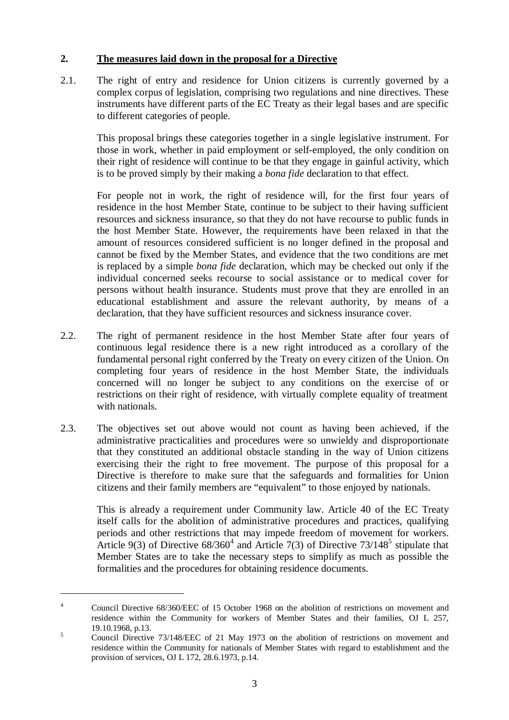#### **2. The measures laid down in the proposal for a Directive**

2.1. The right of entry and residence for Union citizens is currently governed by a complex corpus of legislation, comprising two regulations and nine directives. These instruments have different parts of the EC Treaty as their legal bases and are specific to different categories of people.

This proposal brings these categories together in a single legislative instrument. For those in work, whether in paid employment or self-employed, the only condition on their right of residence will continue to be that they engage in gainful activity, which is to be proved simply by their making a *bona fide* declaration to that effect.

For people not in work, the right of residence will, for the first four years of residence in the host Member State, continue to be subject to their having sufficient resources and sickness insurance, so that they do not have recourse to public funds in the host Member State. However, the requirements have been relaxed in that the amount of resources considered sufficient is no longer defined in the proposal and cannot be fixed by the Member States, and evidence that the two conditions are met is replaced by a simple *bona fide* declaration, which may be checked out only if the individual concerned seeks recourse to social assistance or to medical cover for persons without health insurance. Students must prove that they are enrolled in an educational establishment and assure the relevant authority, by means of a declaration, that they have sufficient resources and sickness insurance cover.

- 2.2. The right of permanent residence in the host Member State after four years of continuous legal residence there is a new right introduced as a corollary of the fundamental personal right conferred by the Treaty on every citizen of the Union. On completing four years of residence in the host Member State, the individuals concerned will no longer be subject to any conditions on the exercise of or restrictions on their right of residence, with virtually complete equality of treatment with nationals.
- 2.3. The objectives set out above would not count as having been achieved, if the administrative practicalities and procedures were so unwieldy and disproportionate that they constituted an additional obstacle standing in the way of Union citizens exercising their the right to free movement. The purpose of this proposal for a Directive is therefore to make sure that the safeguards and formalities for Union citizens and their family members are "equivalent" to those enjoyed by nationals.

This is already a requirement under Community law. Article 40 of the EC Treaty itself calls for the abolition of administrative procedures and practices, qualifying periods and other restrictions that may impede freedom of movement for workers. Article 9(3) of Directive  $68/360^4$  and Article 7(3) of Directive 73/148<sup>5</sup> stipulate that Member States are to take the necessary steps to simplify as much as possible the formalities and the procedures for obtaining residence documents.

<sup>&</sup>lt;sup>4</sup> Council Directive 68/360/EEC of 15 October 1968 on the abolition of restrictions on movement and residence within the Community for workers of Member States and their families, OJ L 257,

<sup>19.10.1968,</sup> p.13.<br>
5 Council Directive 73/148/EEC of 21 May 1973 on the abolition of restrictions on movement and residence within the Community for nationals of Member States with regard to establishment and the provision of services, OJ L 172, 28.6.1973, p.14.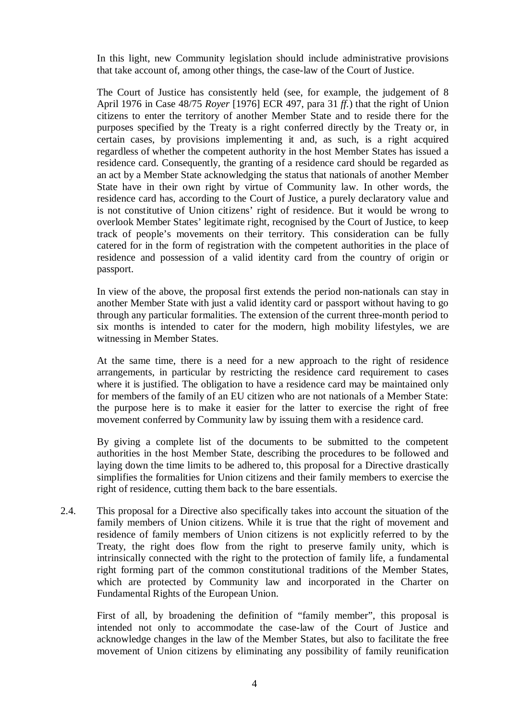In this light, new Community legislation should include administrative provisions that take account of, among other things, the case-law of the Court of Justice.

The Court of Justice has consistently held (see, for example, the judgement of 8 April 1976 in Case 48/75 *Royer* [1976] ECR 497, para 31 *ff.*) that the right of Union citizens to enter the territory of another Member State and to reside there for the purposes specified by the Treaty is a right conferred directly by the Treaty or, in certain cases, by provisions implementing it and, as such, is a right acquired regardless of whether the competent authority in the host Member States has issued a residence card. Consequently, the granting of a residence card should be regarded as an act by a Member State acknowledging the status that nationals of another Member State have in their own right by virtue of Community law. In other words, the residence card has, according to the Court of Justice, a purely declaratory value and is not constitutive of Union citizens' right of residence. But it would be wrong to overlook Member States' legitimate right, recognised by the Court of Justice, to keep track of people's movements on their territory. This consideration can be fully catered for in the form of registration with the competent authorities in the place of residence and possession of a valid identity card from the country of origin or passport.

In view of the above, the proposal first extends the period non-nationals can stay in another Member State with just a valid identity card or passport without having to go through any particular formalities. The extension of the current three-month period to six months is intended to cater for the modern, high mobility lifestyles, we are witnessing in Member States.

At the same time, there is a need for a new approach to the right of residence arrangements, in particular by restricting the residence card requirement to cases where it is justified. The obligation to have a residence card may be maintained only for members of the family of an EU citizen who are not nationals of a Member State: the purpose here is to make it easier for the latter to exercise the right of free movement conferred by Community law by issuing them with a residence card.

By giving a complete list of the documents to be submitted to the competent authorities in the host Member State, describing the procedures to be followed and laying down the time limits to be adhered to, this proposal for a Directive drastically simplifies the formalities for Union citizens and their family members to exercise the right of residence, cutting them back to the bare essentials.

2.4. This proposal for a Directive also specifically takes into account the situation of the family members of Union citizens. While it is true that the right of movement and residence of family members of Union citizens is not explicitly referred to by the Treaty, the right does flow from the right to preserve family unity, which is intrinsically connected with the right to the protection of family life, a fundamental right forming part of the common constitutional traditions of the Member States, which are protected by Community law and incorporated in the Charter on Fundamental Rights of the European Union.

First of all, by broadening the definition of "family member", this proposal is intended not only to accommodate the case-law of the Court of Justice and acknowledge changes in the law of the Member States, but also to facilitate the free movement of Union citizens by eliminating any possibility of family reunification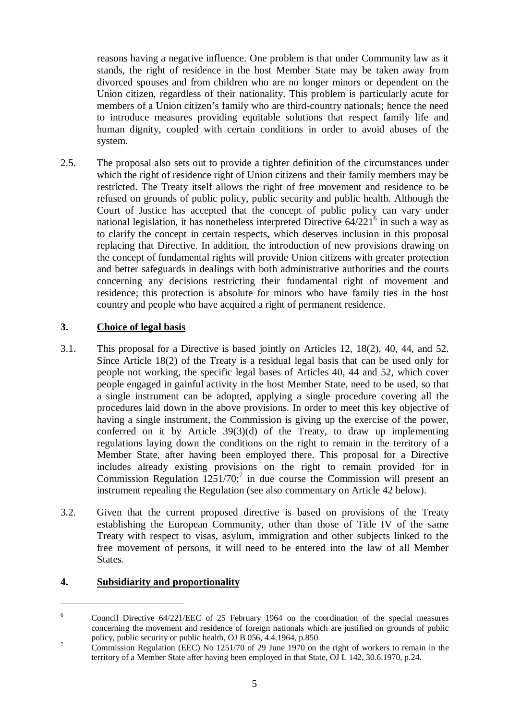reasons having a negative influence. One problem is that under Community law as it stands, the right of residence in the host Member State may be taken away from divorced spouses and from children who are no longer minors or dependent on the Union citizen, regardless of their nationality. This problem is particularly acute for members of a Union citizen's family who are third-country nationals; hence the need to introduce measures providing equitable solutions that respect family life and human dignity, coupled with certain conditions in order to avoid abuses of the system.

2.5. The proposal also sets out to provide a tighter definition of the circumstances under which the right of residence right of Union citizens and their family members may be restricted. The Treaty itself allows the right of free movement and residence to be refused on grounds of public policy, public security and public health. Although the Court of Justice has accepted that the concept of public policy can vary under national legislation, it has nonetheless interpreted Directive  $64/221^6$  in such a way as to clarify the concept in certain respects, which deserves inclusion in this proposal replacing that Directive. In addition, the introduction of new provisions drawing on the concept of fundamental rights will provide Union citizens with greater protection and better safeguards in dealings with both administrative authorities and the courts concerning any decisions restricting their fundamental right of movement and residence; this protection is absolute for minors who have family ties in the host country and people who have acquired a right of permanent residence.

## **3. Choice of legal basis**

- 3.1. This proposal for a Directive is based jointly on Articles 12, 18(2), 40, 44, and 52. Since Article 18(2) of the Treaty is a residual legal basis that can be used only for people not working, the specific legal bases of Articles 40, 44 and 52, which cover people engaged in gainful activity in the host Member State, need to be used, so that a single instrument can be adopted, applying a single procedure covering all the procedures laid down in the above provisions. In order to meet this key objective of having a single instrument, the Commission is giving up the exercise of the power, conferred on it by Article 39(3)(d) of the Treaty, to draw up implementing regulations laying down the conditions on the right to remain in the territory of a Member State, after having been employed there. This proposal for a Directive includes already existing provisions on the right to remain provided for in Commission Regulation  $1251/70$ ;<sup>7</sup> in due course the Commission will present an instrument repealing the Regulation (see also commentary on Article 42 below).
- 3.2. Given that the current proposed directive is based on provisions of the Treaty establishing the European Community, other than those of Title IV of the same Treaty with respect to visas, asylum, immigration and other subjects linked to the free movement of persons, it will need to be entered into the law of all Member States.

## **4. Subsidiarity and proportionality**

<sup>&</sup>lt;sup>6</sup> Council Directive 64/221/EEC of 25 February 1964 on the coordination of the special measures concerning the movement and residence of foreign nationals which are justified on grounds of public policy, public security or public health, OJ B 056, 4.4.1964, p.850.<br><sup>7</sup> Commission Regulation (EEC) No 1251/70 of 29 June 1970 on the right of workers to remain in the

territory of a Member State after having been employed in that State, OJ L 142, 30.6.1970, p.24.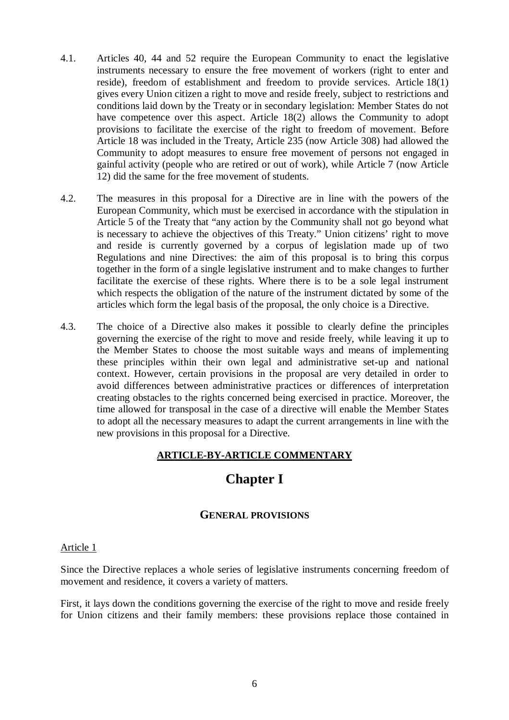- 4.1. Articles 40, 44 and 52 require the European Community to enact the legislative instruments necessary to ensure the free movement of workers (right to enter and reside), freedom of establishment and freedom to provide services. Article 18(1) gives every Union citizen a right to move and reside freely, subject to restrictions and conditions laid down by the Treaty or in secondary legislation: Member States do not have competence over this aspect. Article 18(2) allows the Community to adopt provisions to facilitate the exercise of the right to freedom of movement. Before Article 18 was included in the Treaty, Article 235 (now Article 308) had allowed the Community to adopt measures to ensure free movement of persons not engaged in gainful activity (people who are retired or out of work), while Article 7 (now Article 12) did the same for the free movement of students.
- 4.2. The measures in this proposal for a Directive are in line with the powers of the European Community, which must be exercised in accordance with the stipulation in Article 5 of the Treaty that "any action by the Community shall not go beyond what is necessary to achieve the objectives of this Treaty." Union citizens' right to move and reside is currently governed by a corpus of legislation made up of two Regulations and nine Directives: the aim of this proposal is to bring this corpus together in the form of a single legislative instrument and to make changes to further facilitate the exercise of these rights. Where there is to be a sole legal instrument which respects the obligation of the nature of the instrument dictated by some of the articles which form the legal basis of the proposal, the only choice is a Directive.
- 4.3. The choice of a Directive also makes it possible to clearly define the principles governing the exercise of the right to move and reside freely, while leaving it up to the Member States to choose the most suitable ways and means of implementing these principles within their own legal and administrative set-up and national context. However, certain provisions in the proposal are very detailed in order to avoid differences between administrative practices or differences of interpretation creating obstacles to the rights concerned being exercised in practice. Moreover, the time allowed for transposal in the case of a directive will enable the Member States to adopt all the necessary measures to adapt the current arrangements in line with the new provisions in this proposal for a Directive.

## **ARTICLE-BY-ARTICLE COMMENTARY**

# **Chapter I**

## **GENERAL PROVISIONS**

#### Article 1

Since the Directive replaces a whole series of legislative instruments concerning freedom of movement and residence, it covers a variety of matters.

First, it lays down the conditions governing the exercise of the right to move and reside freely for Union citizens and their family members: these provisions replace those contained in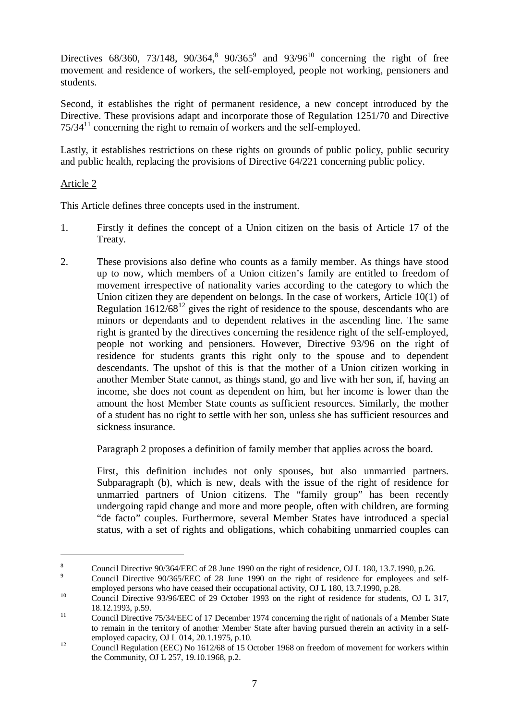Directives 68/360, 73/148, 90/364,<sup>8</sup> 90/365<sup>9</sup> and 93/96<sup>10</sup> concerning the right of free movement and residence of workers, the self-employed, people not working, pensioners and students.

Second, it establishes the right of permanent residence, a new concept introduced by the Directive. These provisions adapt and incorporate those of Regulation 1251/70 and Directive  $75/34<sup>11</sup>$  concerning the right to remain of workers and the self-employed.

Lastly, it establishes restrictions on these rights on grounds of public policy, public security and public health, replacing the provisions of Directive 64/221 concerning public policy.

## Article 2

This Article defines three concepts used in the instrument.

- 1. Firstly it defines the concept of a Union citizen on the basis of Article 17 of the Treaty.
- 2. These provisions also define who counts as a family member. As things have stood up to now, which members of a Union citizen's family are entitled to freedom of movement irrespective of nationality varies according to the category to which the Union citizen they are dependent on belongs. In the case of workers, Article 10(1) of Regulation  $1612/68^{12}$  gives the right of residence to the spouse, descendants who are minors or dependants and to dependent relatives in the ascending line. The same right is granted by the directives concerning the residence right of the self-employed, people not working and pensioners. However, Directive 93/96 on the right of residence for students grants this right only to the spouse and to dependent descendants. The upshot of this is that the mother of a Union citizen working in another Member State cannot, as things stand, go and live with her son, if, having an income, she does not count as dependent on him, but her income is lower than the amount the host Member State counts as sufficient resources. Similarly, the mother of a student has no right to settle with her son, unless she has sufficient resources and sickness insurance.

Paragraph 2 proposes a definition of family member that applies across the board.

First, this definition includes not only spouses, but also unmarried partners. Subparagraph (b), which is new, deals with the issue of the right of residence for unmarried partners of Union citizens. The "family group" has been recently undergoing rapid change and more and more people, often with children, are forming "de facto" couples. Furthermore, several Member States have introduced a special status, with a set of rights and obligations, which cohabiting unmarried couples can

<sup>&</sup>lt;sup>8</sup> Council Directive 90/364/EEC of 28 June 1990 on the right of residence, OJ L 180, 13.7.1990, p.26.<br><sup>9</sup> Council Directive 90/365/EEC of 28 June 1990 on the right of residence for employees and self-

employed persons who have ceased their occupational activity, OJ L 180, 13.7.1990, p.28.<br>Council Directive 93/96/EEC of 29 October 1993 on the right of residence for students, OJ L 317,

<sup>18.12.1993,</sup> p.59.<br>Council Directive 75/34/EEC of 17 December 1974 concerning the right of nationals of a Member State

to remain in the territory of another Member State after having pursued therein an activity in a self-

employed capacity, OJ L 014, 20.1.1975, p.10.<br>Council Regulation (EEC) No 1612/68 of 15 October 1968 on freedom of movement for workers within the Community, OJ L 257, 19.10.1968, p.2.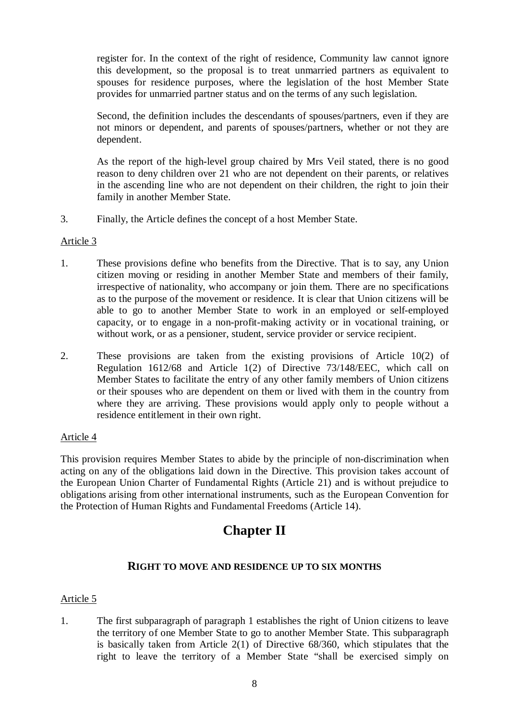register for. In the context of the right of residence, Community law cannot ignore this development, so the proposal is to treat unmarried partners as equivalent to spouses for residence purposes, where the legislation of the host Member State provides for unmarried partner status and on the terms of any such legislation.

Second, the definition includes the descendants of spouses/partners, even if they are not minors or dependent, and parents of spouses/partners, whether or not they are dependent.

As the report of the high-level group chaired by Mrs Veil stated, there is no good reason to deny children over 21 who are not dependent on their parents, or relatives in the ascending line who are not dependent on their children, the right to join their family in another Member State.

3. Finally, the Article defines the concept of a host Member State.

#### Article 3

- 1. These provisions define who benefits from the Directive. That is to say, any Union citizen moving or residing in another Member State and members of their family, irrespective of nationality, who accompany or join them. There are no specifications as to the purpose of the movement or residence. It is clear that Union citizens will be able to go to another Member State to work in an employed or self-employed capacity, or to engage in a non-profit-making activity or in vocational training, or without work, or as a pensioner, student, service provider or service recipient.
- 2. These provisions are taken from the existing provisions of Article 10(2) of Regulation 1612/68 and Article 1(2) of Directive 73/148/EEC, which call on Member States to facilitate the entry of any other family members of Union citizens or their spouses who are dependent on them or lived with them in the country from where they are arriving. These provisions would apply only to people without a residence entitlement in their own right.

## Article 4

This provision requires Member States to abide by the principle of non-discrimination when acting on any of the obligations laid down in the Directive. This provision takes account of the European Union Charter of Fundamental Rights (Article 21) and is without prejudice to obligations arising from other international instruments, such as the European Convention for the Protection of Human Rights and Fundamental Freedoms (Article 14).

# **Chapter II**

## **RIGHT TO MOVE AND RESIDENCE UP TO SIX MONTHS**

## Article 5

1. The first subparagraph of paragraph 1 establishes the right of Union citizens to leave the territory of one Member State to go to another Member State. This subparagraph is basically taken from Article 2(1) of Directive 68/360, which stipulates that the right to leave the territory of a Member State "shall be exercised simply on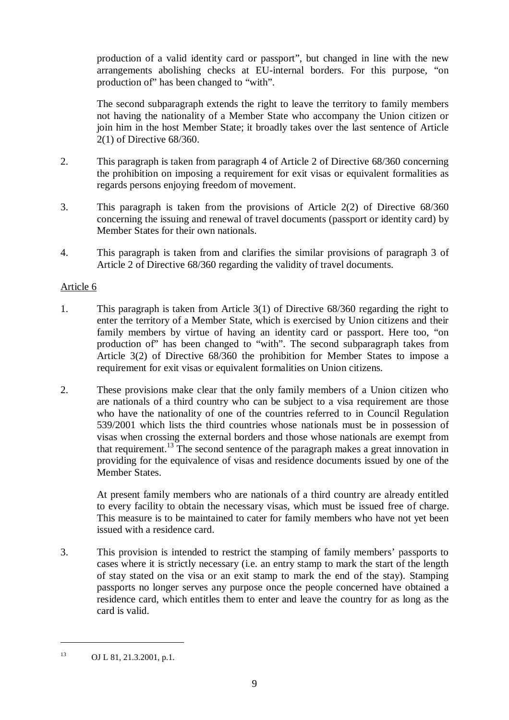production of a valid identity card or passport", but changed in line with the new arrangements abolishing checks at EU-internal borders. For this purpose, "on production of" has been changed to "with".

The second subparagraph extends the right to leave the territory to family members not having the nationality of a Member State who accompany the Union citizen or join him in the host Member State; it broadly takes over the last sentence of Article 2(1) of Directive 68/360.

- 2. This paragraph is taken from paragraph 4 of Article 2 of Directive 68/360 concerning the prohibition on imposing a requirement for exit visas or equivalent formalities as regards persons enjoying freedom of movement.
- 3. This paragraph is taken from the provisions of Article 2(2) of Directive 68/360 concerning the issuing and renewal of travel documents (passport or identity card) by Member States for their own nationals.
- 4. This paragraph is taken from and clarifies the similar provisions of paragraph 3 of Article 2 of Directive 68/360 regarding the validity of travel documents.

#### Article 6

- 1. This paragraph is taken from Article 3(1) of Directive 68/360 regarding the right to enter the territory of a Member State, which is exercised by Union citizens and their family members by virtue of having an identity card or passport. Here too, "on production of" has been changed to "with". The second subparagraph takes from Article 3(2) of Directive 68/360 the prohibition for Member States to impose a requirement for exit visas or equivalent formalities on Union citizens.
- 2. These provisions make clear that the only family members of a Union citizen who are nationals of a third country who can be subject to a visa requirement are those who have the nationality of one of the countries referred to in Council Regulation 539/2001 which lists the third countries whose nationals must be in possession of visas when crossing the external borders and those whose nationals are exempt from that requirement.<sup>13</sup> The second sentence of the paragraph makes a great innovation in providing for the equivalence of visas and residence documents issued by one of the Member States.

At present family members who are nationals of a third country are already entitled to every facility to obtain the necessary visas, which must be issued free of charge. This measure is to be maintained to cater for family members who have not yet been issued with a residence card.

3. This provision is intended to restrict the stamping of family members' passports to cases where it is strictly necessary (i.e. an entry stamp to mark the start of the length of stay stated on the visa or an exit stamp to mark the end of the stay). Stamping passports no longer serves any purpose once the people concerned have obtained a residence card, which entitles them to enter and leave the country for as long as the card is valid.

<sup>13</sup> OJ L 81, 21.3.2001, p.1.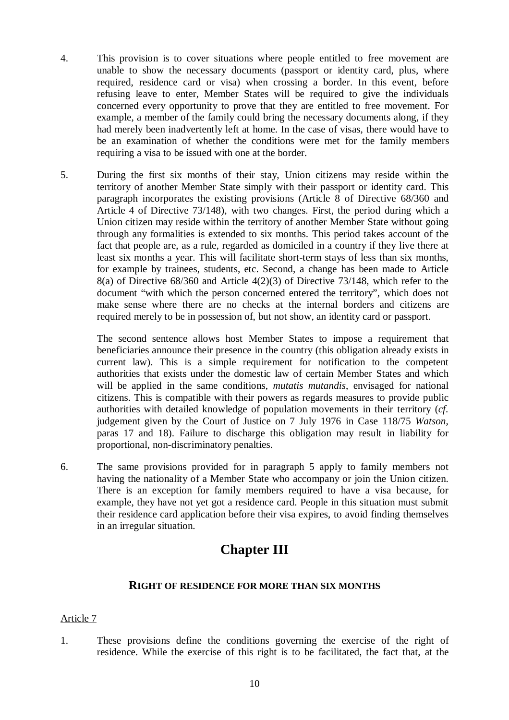- 4. This provision is to cover situations where people entitled to free movement are unable to show the necessary documents (passport or identity card, plus, where required, residence card or visa) when crossing a border. In this event, before refusing leave to enter, Member States will be required to give the individuals concerned every opportunity to prove that they are entitled to free movement. For example, a member of the family could bring the necessary documents along, if they had merely been inadvertently left at home. In the case of visas, there would have to be an examination of whether the conditions were met for the family members requiring a visa to be issued with one at the border.
- 5. During the first six months of their stay, Union citizens may reside within the territory of another Member State simply with their passport or identity card. This paragraph incorporates the existing provisions (Article 8 of Directive 68/360 and Article 4 of Directive 73/148), with two changes. First, the period during which a Union citizen may reside within the territory of another Member State without going through any formalities is extended to six months. This period takes account of the fact that people are, as a rule, regarded as domiciled in a country if they live there at least six months a year. This will facilitate short-term stays of less than six months, for example by trainees, students, etc. Second, a change has been made to Article 8(a) of Directive 68/360 and Article 4(2)(3) of Directive 73/148, which refer to the document "with which the person concerned entered the territory", which does not make sense where there are no checks at the internal borders and citizens are required merely to be in possession of, but not show, an identity card or passport.

The second sentence allows host Member States to impose a requirement that beneficiaries announce their presence in the country (this obligation already exists in current law). This is a simple requirement for notification to the competent authorities that exists under the domestic law of certain Member States and which will be applied in the same conditions, *mutatis mutandis*, envisaged for national citizens. This is compatible with their powers as regards measures to provide public authorities with detailed knowledge of population movements in their territory (*cf.* judgement given by the Court of Justice on 7 July 1976 in Case 118/75 *Watson*, paras 17 and 18). Failure to discharge this obligation may result in liability for proportional, non-discriminatory penalties.

6. The same provisions provided for in paragraph 5 apply to family members not having the nationality of a Member State who accompany or join the Union citizen. There is an exception for family members required to have a visa because, for example, they have not yet got a residence card. People in this situation must submit their residence card application before their visa expires, to avoid finding themselves in an irregular situation.

# **Chapter III**

## **RIGHT OF RESIDENCE FOR MORE THAN SIX MONTHS**

## Article 7

1. These provisions define the conditions governing the exercise of the right of residence. While the exercise of this right is to be facilitated, the fact that, at the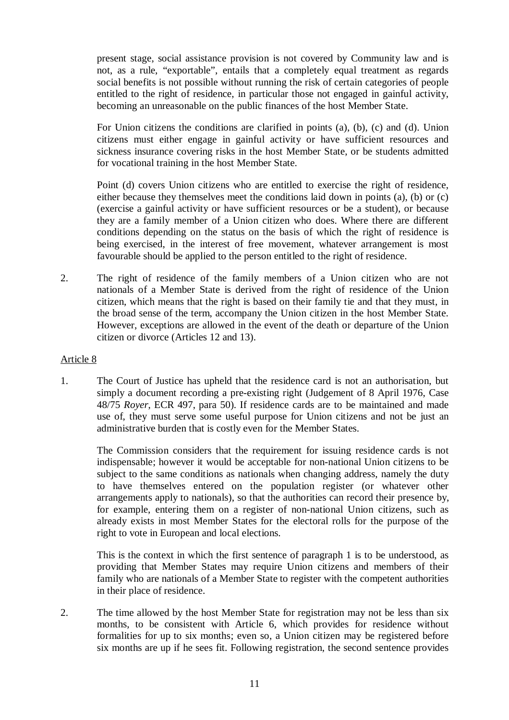present stage, social assistance provision is not covered by Community law and is not, as a rule, "exportable", entails that a completely equal treatment as regards social benefits is not possible without running the risk of certain categories of people entitled to the right of residence, in particular those not engaged in gainful activity, becoming an unreasonable on the public finances of the host Member State.

For Union citizens the conditions are clarified in points (a), (b), (c) and (d). Union citizens must either engage in gainful activity or have sufficient resources and sickness insurance covering risks in the host Member State, or be students admitted for vocational training in the host Member State.

Point (d) covers Union citizens who are entitled to exercise the right of residence, either because they themselves meet the conditions laid down in points (a), (b) or (c) (exercise a gainful activity or have sufficient resources or be a student), or because they are a family member of a Union citizen who does. Where there are different conditions depending on the status on the basis of which the right of residence is being exercised, in the interest of free movement, whatever arrangement is most favourable should be applied to the person entitled to the right of residence.

2. The right of residence of the family members of a Union citizen who are not nationals of a Member State is derived from the right of residence of the Union citizen, which means that the right is based on their family tie and that they must, in the broad sense of the term, accompany the Union citizen in the host Member State. However, exceptions are allowed in the event of the death or departure of the Union citizen or divorce (Articles 12 and 13).

#### Article 8

1. The Court of Justice has upheld that the residence card is not an authorisation, but simply a document recording a pre-existing right (Judgement of 8 April 1976, Case 48/75 *Royer*, ECR 497, para 50). If residence cards are to be maintained and made use of, they must serve some useful purpose for Union citizens and not be just an administrative burden that is costly even for the Member States.

The Commission considers that the requirement for issuing residence cards is not indispensable; however it would be acceptable for non-national Union citizens to be subject to the same conditions as nationals when changing address, namely the duty to have themselves entered on the population register (or whatever other arrangements apply to nationals), so that the authorities can record their presence by, for example, entering them on a register of non-national Union citizens, such as already exists in most Member States for the electoral rolls for the purpose of the right to vote in European and local elections.

This is the context in which the first sentence of paragraph 1 is to be understood, as providing that Member States may require Union citizens and members of their family who are nationals of a Member State to register with the competent authorities in their place of residence.

2. The time allowed by the host Member State for registration may not be less than six months, to be consistent with Article 6, which provides for residence without formalities for up to six months; even so, a Union citizen may be registered before six months are up if he sees fit. Following registration, the second sentence provides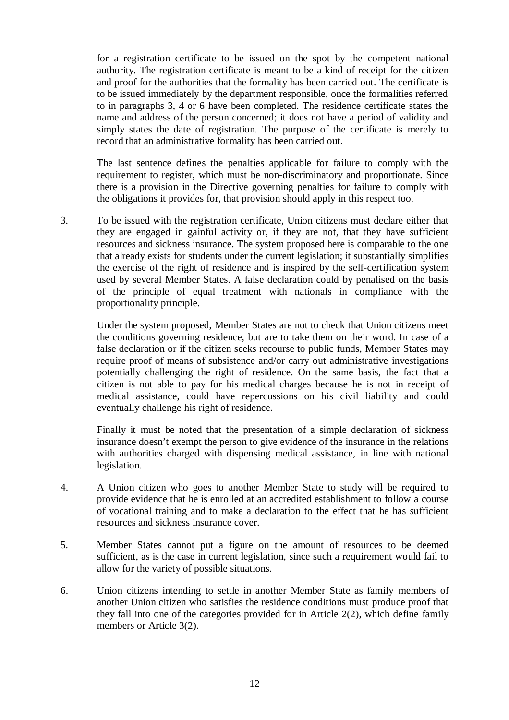for a registration certificate to be issued on the spot by the competent national authority. The registration certificate is meant to be a kind of receipt for the citizen and proof for the authorities that the formality has been carried out. The certificate is to be issued immediately by the department responsible, once the formalities referred to in paragraphs 3, 4 or 6 have been completed. The residence certificate states the name and address of the person concerned; it does not have a period of validity and simply states the date of registration. The purpose of the certificate is merely to record that an administrative formality has been carried out.

The last sentence defines the penalties applicable for failure to comply with the requirement to register, which must be non-discriminatory and proportionate. Since there is a provision in the Directive governing penalties for failure to comply with the obligations it provides for, that provision should apply in this respect too.

3. To be issued with the registration certificate, Union citizens must declare either that they are engaged in gainful activity or, if they are not, that they have sufficient resources and sickness insurance. The system proposed here is comparable to the one that already exists for students under the current legislation; it substantially simplifies the exercise of the right of residence and is inspired by the self-certification system used by several Member States. A false declaration could by penalised on the basis of the principle of equal treatment with nationals in compliance with the proportionality principle.

Under the system proposed, Member States are not to check that Union citizens meet the conditions governing residence, but are to take them on their word. In case of a false declaration or if the citizen seeks recourse to public funds, Member States may require proof of means of subsistence and/or carry out administrative investigations potentially challenging the right of residence. On the same basis, the fact that a citizen is not able to pay for his medical charges because he is not in receipt of medical assistance, could have repercussions on his civil liability and could eventually challenge his right of residence.

Finally it must be noted that the presentation of a simple declaration of sickness insurance doesn't exempt the person to give evidence of the insurance in the relations with authorities charged with dispensing medical assistance, in line with national legislation.

- 4. A Union citizen who goes to another Member State to study will be required to provide evidence that he is enrolled at an accredited establishment to follow a course of vocational training and to make a declaration to the effect that he has sufficient resources and sickness insurance cover.
- 5. Member States cannot put a figure on the amount of resources to be deemed sufficient, as is the case in current legislation, since such a requirement would fail to allow for the variety of possible situations.
- 6. Union citizens intending to settle in another Member State as family members of another Union citizen who satisfies the residence conditions must produce proof that they fall into one of the categories provided for in Article 2(2), which define family members or Article 3(2).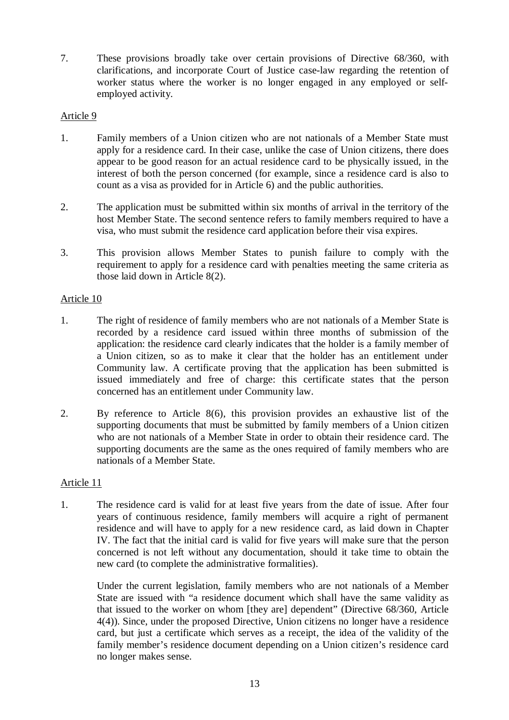7. These provisions broadly take over certain provisions of Directive 68/360, with clarifications, and incorporate Court of Justice case-law regarding the retention of worker status where the worker is no longer engaged in any employed or selfemployed activity.

#### Article 9

- 1. Family members of a Union citizen who are not nationals of a Member State must apply for a residence card. In their case, unlike the case of Union citizens, there does appear to be good reason for an actual residence card to be physically issued, in the interest of both the person concerned (for example, since a residence card is also to count as a visa as provided for in Article 6) and the public authorities.
- 2. The application must be submitted within six months of arrival in the territory of the host Member State. The second sentence refers to family members required to have a visa, who must submit the residence card application before their visa expires.
- 3. This provision allows Member States to punish failure to comply with the requirement to apply for a residence card with penalties meeting the same criteria as those laid down in Article 8(2).

#### Article 10

- 1. The right of residence of family members who are not nationals of a Member State is recorded by a residence card issued within three months of submission of the application: the residence card clearly indicates that the holder is a family member of a Union citizen, so as to make it clear that the holder has an entitlement under Community law. A certificate proving that the application has been submitted is issued immediately and free of charge: this certificate states that the person concerned has an entitlement under Community law.
- 2. By reference to Article 8(6), this provision provides an exhaustive list of the supporting documents that must be submitted by family members of a Union citizen who are not nationals of a Member State in order to obtain their residence card. The supporting documents are the same as the ones required of family members who are nationals of a Member State.

#### Article 11

1. The residence card is valid for at least five years from the date of issue. After four years of continuous residence, family members will acquire a right of permanent residence and will have to apply for a new residence card, as laid down in Chapter IV. The fact that the initial card is valid for five years will make sure that the person concerned is not left without any documentation, should it take time to obtain the new card (to complete the administrative formalities).

Under the current legislation, family members who are not nationals of a Member State are issued with "a residence document which shall have the same validity as that issued to the worker on whom [they are] dependent" (Directive 68/360, Article 4(4)). Since, under the proposed Directive, Union citizens no longer have a residence card, but just a certificate which serves as a receipt, the idea of the validity of the family member's residence document depending on a Union citizen's residence card no longer makes sense.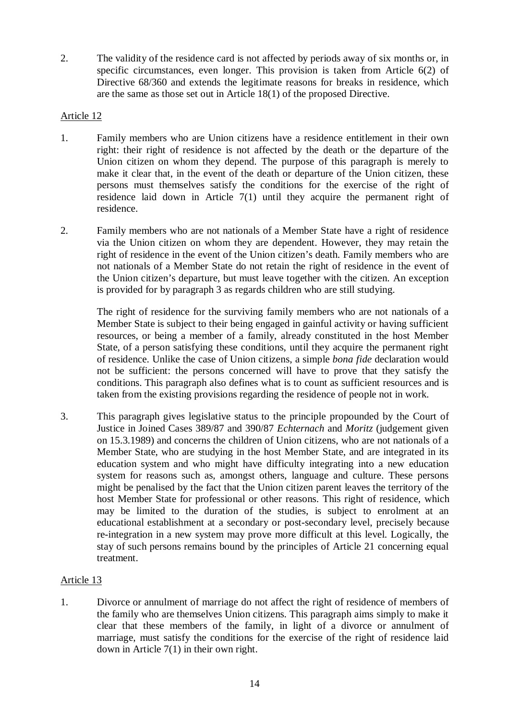2. The validity of the residence card is not affected by periods away of six months or, in specific circumstances, even longer. This provision is taken from Article 6(2) of Directive 68/360 and extends the legitimate reasons for breaks in residence, which are the same as those set out in Article 18(1) of the proposed Directive.

#### Article 12

- 1. Family members who are Union citizens have a residence entitlement in their own right: their right of residence is not affected by the death or the departure of the Union citizen on whom they depend. The purpose of this paragraph is merely to make it clear that, in the event of the death or departure of the Union citizen, these persons must themselves satisfy the conditions for the exercise of the right of residence laid down in Article 7(1) until they acquire the permanent right of residence.
- 2. Family members who are not nationals of a Member State have a right of residence via the Union citizen on whom they are dependent. However, they may retain the right of residence in the event of the Union citizen's death. Family members who are not nationals of a Member State do not retain the right of residence in the event of the Union citizen's departure, but must leave together with the citizen. An exception is provided for by paragraph 3 as regards children who are still studying.

The right of residence for the surviving family members who are not nationals of a Member State is subject to their being engaged in gainful activity or having sufficient resources, or being a member of a family, already constituted in the host Member State, of a person satisfying these conditions, until they acquire the permanent right of residence. Unlike the case of Union citizens, a simple *bona fide* declaration would not be sufficient: the persons concerned will have to prove that they satisfy the conditions. This paragraph also defines what is to count as sufficient resources and is taken from the existing provisions regarding the residence of people not in work.

3. This paragraph gives legislative status to the principle propounded by the Court of Justice in Joined Cases 389/87 and 390/87 *Echternach* and *Moritz* (judgement given on 15.3.1989) and concerns the children of Union citizens, who are not nationals of a Member State, who are studying in the host Member State, and are integrated in its education system and who might have difficulty integrating into a new education system for reasons such as, amongst others, language and culture. These persons might be penalised by the fact that the Union citizen parent leaves the territory of the host Member State for professional or other reasons. This right of residence, which may be limited to the duration of the studies, is subject to enrolment at an educational establishment at a secondary or post-secondary level, precisely because re-integration in a new system may prove more difficult at this level. Logically, the stay of such persons remains bound by the principles of Article 21 concerning equal treatment.

## Article 13

1. Divorce or annulment of marriage do not affect the right of residence of members of the family who are themselves Union citizens. This paragraph aims simply to make it clear that these members of the family, in light of a divorce or annulment of marriage, must satisfy the conditions for the exercise of the right of residence laid down in Article 7(1) in their own right.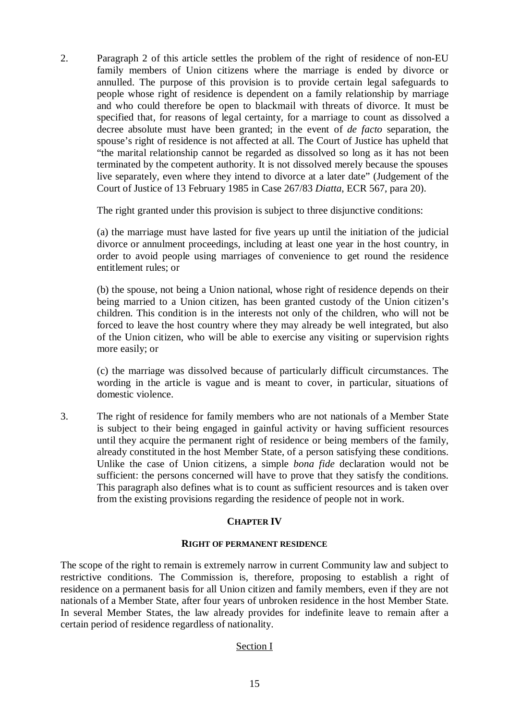2. Paragraph 2 of this article settles the problem of the right of residence of non-EU family members of Union citizens where the marriage is ended by divorce or annulled. The purpose of this provision is to provide certain legal safeguards to people whose right of residence is dependent on a family relationship by marriage and who could therefore be open to blackmail with threats of divorce. It must be specified that, for reasons of legal certainty, for a marriage to count as dissolved a decree absolute must have been granted; in the event of *de facto* separation, the spouse's right of residence is not affected at all. The Court of Justice has upheld that "the marital relationship cannot be regarded as dissolved so long as it has not been terminated by the competent authority. It is not dissolved merely because the spouses live separately, even where they intend to divorce at a later date" (Judgement of the Court of Justice of 13 February 1985 in Case 267/83 *Diatta*, ECR 567, para 20).

The right granted under this provision is subject to three disjunctive conditions:

(a) the marriage must have lasted for five years up until the initiation of the judicial divorce or annulment proceedings, including at least one year in the host country, in order to avoid people using marriages of convenience to get round the residence entitlement rules; or

(b) the spouse, not being a Union national, whose right of residence depends on their being married to a Union citizen, has been granted custody of the Union citizen's children. This condition is in the interests not only of the children, who will not be forced to leave the host country where they may already be well integrated, but also of the Union citizen, who will be able to exercise any visiting or supervision rights more easily; or

(c) the marriage was dissolved because of particularly difficult circumstances. The wording in the article is vague and is meant to cover, in particular, situations of domestic violence.

3. The right of residence for family members who are not nationals of a Member State is subject to their being engaged in gainful activity or having sufficient resources until they acquire the permanent right of residence or being members of the family, already constituted in the host Member State, of a person satisfying these conditions. Unlike the case of Union citizens, a simple *bona fide* declaration would not be sufficient: the persons concerned will have to prove that they satisfy the conditions. This paragraph also defines what is to count as sufficient resources and is taken over from the existing provisions regarding the residence of people not in work.

## **CHAPTER IV**

#### **RIGHT OF PERMANENT RESIDENCE**

The scope of the right to remain is extremely narrow in current Community law and subject to restrictive conditions. The Commission is, therefore, proposing to establish a right of residence on a permanent basis for all Union citizen and family members, even if they are not nationals of a Member State, after four years of unbroken residence in the host Member State. In several Member States, the law already provides for indefinite leave to remain after a certain period of residence regardless of nationality.

## Section I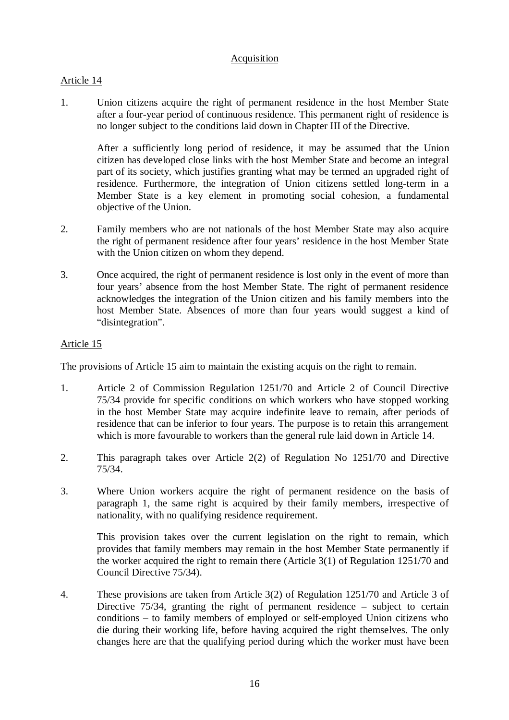## Acquisition

## Article 14

1. Union citizens acquire the right of permanent residence in the host Member State after a four-year period of continuous residence. This permanent right of residence is no longer subject to the conditions laid down in Chapter III of the Directive.

After a sufficiently long period of residence, it may be assumed that the Union citizen has developed close links with the host Member State and become an integral part of its society, which justifies granting what may be termed an upgraded right of residence. Furthermore, the integration of Union citizens settled long-term in a Member State is a key element in promoting social cohesion, a fundamental objective of the Union.

- 2. Family members who are not nationals of the host Member State may also acquire the right of permanent residence after four years' residence in the host Member State with the Union citizen on whom they depend.
- 3. Once acquired, the right of permanent residence is lost only in the event of more than four years' absence from the host Member State. The right of permanent residence acknowledges the integration of the Union citizen and his family members into the host Member State. Absences of more than four years would suggest a kind of "disintegration".

## Article 15

The provisions of Article 15 aim to maintain the existing acquis on the right to remain.

- 1. Article 2 of Commission Regulation 1251/70 and Article 2 of Council Directive 75/34 provide for specific conditions on which workers who have stopped working in the host Member State may acquire indefinite leave to remain, after periods of residence that can be inferior to four years. The purpose is to retain this arrangement which is more favourable to workers than the general rule laid down in Article 14.
- 2. This paragraph takes over Article 2(2) of Regulation No 1251/70 and Directive 75/34.
- 3. Where Union workers acquire the right of permanent residence on the basis of paragraph 1, the same right is acquired by their family members, irrespective of nationality, with no qualifying residence requirement.

This provision takes over the current legislation on the right to remain, which provides that family members may remain in the host Member State permanently if the worker acquired the right to remain there (Article 3(1) of Regulation 1251/70 and Council Directive 75/34).

4. These provisions are taken from Article 3(2) of Regulation 1251/70 and Article 3 of Directive 75/34, granting the right of permanent residence – subject to certain conditions – to family members of employed or self-employed Union citizens who die during their working life, before having acquired the right themselves. The only changes here are that the qualifying period during which the worker must have been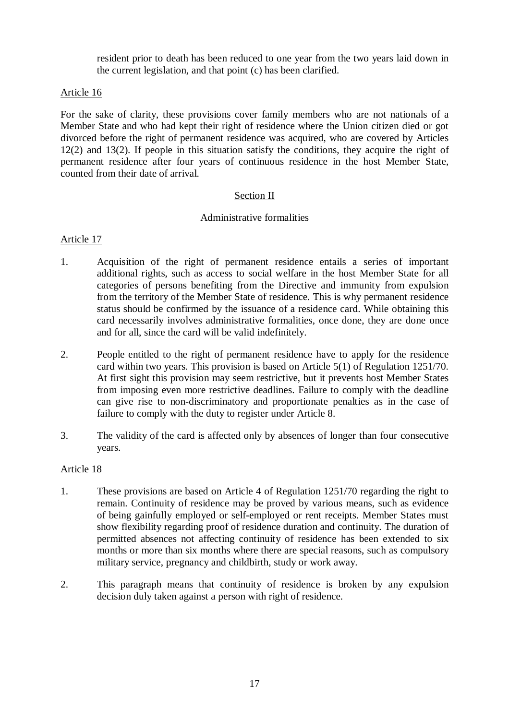resident prior to death has been reduced to one year from the two years laid down in the current legislation, and that point (c) has been clarified.

#### Article 16

For the sake of clarity, these provisions cover family members who are not nationals of a Member State and who had kept their right of residence where the Union citizen died or got divorced before the right of permanent residence was acquired, who are covered by Articles 12(2) and 13(2). If people in this situation satisfy the conditions, they acquire the right of permanent residence after four years of continuous residence in the host Member State, counted from their date of arrival.

#### Section II

#### Administrative formalities

#### Article 17

- 1. Acquisition of the right of permanent residence entails a series of important additional rights, such as access to social welfare in the host Member State for all categories of persons benefiting from the Directive and immunity from expulsion from the territory of the Member State of residence. This is why permanent residence status should be confirmed by the issuance of a residence card. While obtaining this card necessarily involves administrative formalities, once done, they are done once and for all, since the card will be valid indefinitely.
- 2. People entitled to the right of permanent residence have to apply for the residence card within two years. This provision is based on Article 5(1) of Regulation 1251/70. At first sight this provision may seem restrictive, but it prevents host Member States from imposing even more restrictive deadlines. Failure to comply with the deadline can give rise to non-discriminatory and proportionate penalties as in the case of failure to comply with the duty to register under Article 8.
- 3. The validity of the card is affected only by absences of longer than four consecutive years.

#### Article 18

- 1. These provisions are based on Article 4 of Regulation 1251/70 regarding the right to remain. Continuity of residence may be proved by various means, such as evidence of being gainfully employed or self-employed or rent receipts. Member States must show flexibility regarding proof of residence duration and continuity. The duration of permitted absences not affecting continuity of residence has been extended to six months or more than six months where there are special reasons, such as compulsory military service, pregnancy and childbirth, study or work away.
- 2. This paragraph means that continuity of residence is broken by any expulsion decision duly taken against a person with right of residence.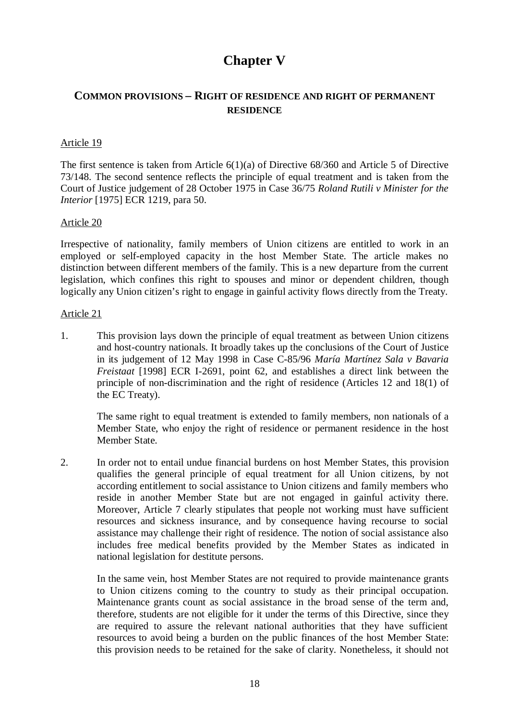# **Chapter V**

## **COMMON PROVISIONS – RIGHT OF RESIDENCE AND RIGHT OF PERMANENT RESIDENCE**

#### Article 19

The first sentence is taken from Article 6(1)(a) of Directive 68/360 and Article 5 of Directive 73/148. The second sentence reflects the principle of equal treatment and is taken from the Court of Justice judgement of 28 October 1975 in Case 36/75 *Roland Rutili v Minister for the Interior* [1975] ECR 1219, para 50.

#### Article 20

Irrespective of nationality, family members of Union citizens are entitled to work in an employed or self-employed capacity in the host Member State. The article makes no distinction between different members of the family. This is a new departure from the current legislation, which confines this right to spouses and minor or dependent children, though logically any Union citizen's right to engage in gainful activity flows directly from the Treaty.

#### Article 21

1. This provision lays down the principle of equal treatment as between Union citizens and host-country nationals. It broadly takes up the conclusions of the Court of Justice in its judgement of 12 May 1998 in Case C-85/96 *María Martínez Sala v Bavaria Freistaat* [1998] ECR I-2691, point 62, and establishes a direct link between the principle of non-discrimination and the right of residence (Articles 12 and 18(1) of the EC Treaty).

The same right to equal treatment is extended to family members, non nationals of a Member State, who enjoy the right of residence or permanent residence in the host Member State.

2. In order not to entail undue financial burdens on host Member States, this provision qualifies the general principle of equal treatment for all Union citizens, by not according entitlement to social assistance to Union citizens and family members who reside in another Member State but are not engaged in gainful activity there. Moreover, Article 7 clearly stipulates that people not working must have sufficient resources and sickness insurance, and by consequence having recourse to social assistance may challenge their right of residence. The notion of social assistance also includes free medical benefits provided by the Member States as indicated in national legislation for destitute persons.

In the same vein, host Member States are not required to provide maintenance grants to Union citizens coming to the country to study as their principal occupation. Maintenance grants count as social assistance in the broad sense of the term and, therefore, students are not eligible for it under the terms of this Directive, since they are required to assure the relevant national authorities that they have sufficient resources to avoid being a burden on the public finances of the host Member State: this provision needs to be retained for the sake of clarity. Nonetheless, it should not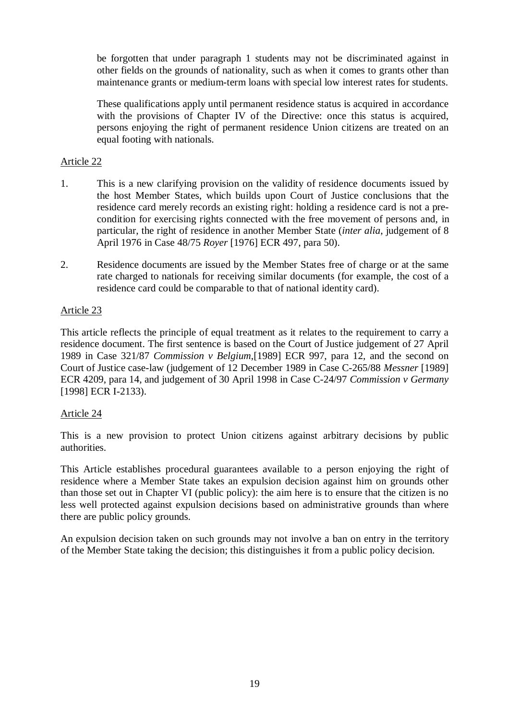be forgotten that under paragraph 1 students may not be discriminated against in other fields on the grounds of nationality, such as when it comes to grants other than maintenance grants or medium-term loans with special low interest rates for students.

These qualifications apply until permanent residence status is acquired in accordance with the provisions of Chapter IV of the Directive: once this status is acquired, persons enjoying the right of permanent residence Union citizens are treated on an equal footing with nationals.

## Article 22

- 1. This is a new clarifying provision on the validity of residence documents issued by the host Member States, which builds upon Court of Justice conclusions that the residence card merely records an existing right: holding a residence card is not a precondition for exercising rights connected with the free movement of persons and, in particular, the right of residence in another Member State (*inter alia*, judgement of 8 April 1976 in Case 48/75 *Royer* [1976] ECR 497, para 50).
- 2. Residence documents are issued by the Member States free of charge or at the same rate charged to nationals for receiving similar documents (for example, the cost of a residence card could be comparable to that of national identity card).

## Article 23

This article reflects the principle of equal treatment as it relates to the requirement to carry a residence document. The first sentence is based on the Court of Justice judgement of 27 April 1989 in Case 321/87 *Commission v Belgium*,[1989] ECR 997, para 12, and the second on Court of Justice case-law (judgement of 12 December 1989 in Case C-265/88 *Messner* [1989] ECR 4209, para 14, and judgement of 30 April 1998 in Case C-24/97 *Commission v Germany* [1998] ECR I-2133).

## Article 24

This is a new provision to protect Union citizens against arbitrary decisions by public authorities.

This Article establishes procedural guarantees available to a person enjoying the right of residence where a Member State takes an expulsion decision against him on grounds other than those set out in Chapter VI (public policy): the aim here is to ensure that the citizen is no less well protected against expulsion decisions based on administrative grounds than where there are public policy grounds.

An expulsion decision taken on such grounds may not involve a ban on entry in the territory of the Member State taking the decision; this distinguishes it from a public policy decision.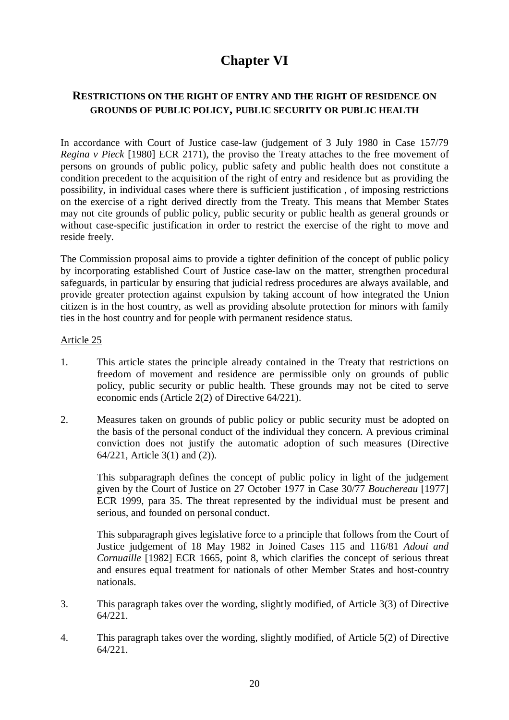# **Chapter VI**

## **RESTRICTIONS ON THE RIGHT OF ENTRY AND THE RIGHT OF RESIDENCE ON GROUNDS OF PUBLIC POLICY, PUBLIC SECURITY OR PUBLIC HEALTH**

In accordance with Court of Justice case-law (judgement of 3 July 1980 in Case 157/79 *Regina v Pieck* [1980] ECR 2171), the proviso the Treaty attaches to the free movement of persons on grounds of public policy, public safety and public health does not constitute a condition precedent to the acquisition of the right of entry and residence but as providing the possibility, in individual cases where there is sufficient justification , of imposing restrictions on the exercise of a right derived directly from the Treaty. This means that Member States may not cite grounds of public policy, public security or public health as general grounds or without case-specific justification in order to restrict the exercise of the right to move and reside freely.

The Commission proposal aims to provide a tighter definition of the concept of public policy by incorporating established Court of Justice case-law on the matter, strengthen procedural safeguards, in particular by ensuring that judicial redress procedures are always available, and provide greater protection against expulsion by taking account of how integrated the Union citizen is in the host country, as well as providing absolute protection for minors with family ties in the host country and for people with permanent residence status.

#### Article 25

- 1. This article states the principle already contained in the Treaty that restrictions on freedom of movement and residence are permissible only on grounds of public policy, public security or public health. These grounds may not be cited to serve economic ends (Article 2(2) of Directive 64/221).
- 2. Measures taken on grounds of public policy or public security must be adopted on the basis of the personal conduct of the individual they concern. A previous criminal conviction does not justify the automatic adoption of such measures (Directive 64/221, Article 3(1) and (2)).

This subparagraph defines the concept of public policy in light of the judgement given by the Court of Justice on 27 October 1977 in Case 30/77 *Bouchereau* [1977] ECR 1999, para 35. The threat represented by the individual must be present and serious, and founded on personal conduct.

This subparagraph gives legislative force to a principle that follows from the Court of Justice judgement of 18 May 1982 in Joined Cases 115 and 116/81 *Adoui and Cornuaille* [1982] ECR 1665, point 8, which clarifies the concept of serious threat and ensures equal treatment for nationals of other Member States and host-country nationals.

- 3. This paragraph takes over the wording, slightly modified, of Article 3(3) of Directive 64/221.
- 4. This paragraph takes over the wording, slightly modified, of Article 5(2) of Directive 64/221.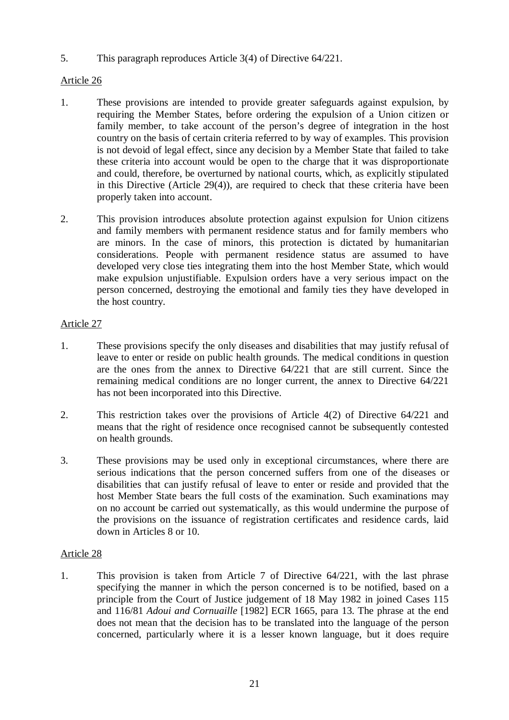5. This paragraph reproduces Article 3(4) of Directive 64/221.

## Article 26

- 1. These provisions are intended to provide greater safeguards against expulsion, by requiring the Member States, before ordering the expulsion of a Union citizen or family member, to take account of the person's degree of integration in the host country on the basis of certain criteria referred to by way of examples. This provision is not devoid of legal effect, since any decision by a Member State that failed to take these criteria into account would be open to the charge that it was disproportionate and could, therefore, be overturned by national courts, which, as explicitly stipulated in this Directive (Article 29(4)), are required to check that these criteria have been properly taken into account.
- 2. This provision introduces absolute protection against expulsion for Union citizens and family members with permanent residence status and for family members who are minors. In the case of minors, this protection is dictated by humanitarian considerations. People with permanent residence status are assumed to have developed very close ties integrating them into the host Member State, which would make expulsion unjustifiable. Expulsion orders have a very serious impact on the person concerned, destroying the emotional and family ties they have developed in the host country.

## Article 27

- 1. These provisions specify the only diseases and disabilities that may justify refusal of leave to enter or reside on public health grounds. The medical conditions in question are the ones from the annex to Directive 64/221 that are still current. Since the remaining medical conditions are no longer current, the annex to Directive 64/221 has not been incorporated into this Directive.
- 2. This restriction takes over the provisions of Article 4(2) of Directive 64/221 and means that the right of residence once recognised cannot be subsequently contested on health grounds.
- 3. These provisions may be used only in exceptional circumstances, where there are serious indications that the person concerned suffers from one of the diseases or disabilities that can justify refusal of leave to enter or reside and provided that the host Member State bears the full costs of the examination. Such examinations may on no account be carried out systematically, as this would undermine the purpose of the provisions on the issuance of registration certificates and residence cards, laid down in Articles 8 or 10.

## Article 28

1. This provision is taken from Article 7 of Directive 64/221, with the last phrase specifying the manner in which the person concerned is to be notified, based on a principle from the Court of Justice judgement of 18 May 1982 in joined Cases 115 and 116/81 *Adoui and Cornuaille* [1982] ECR 1665, para 13. The phrase at the end does not mean that the decision has to be translated into the language of the person concerned, particularly where it is a lesser known language, but it does require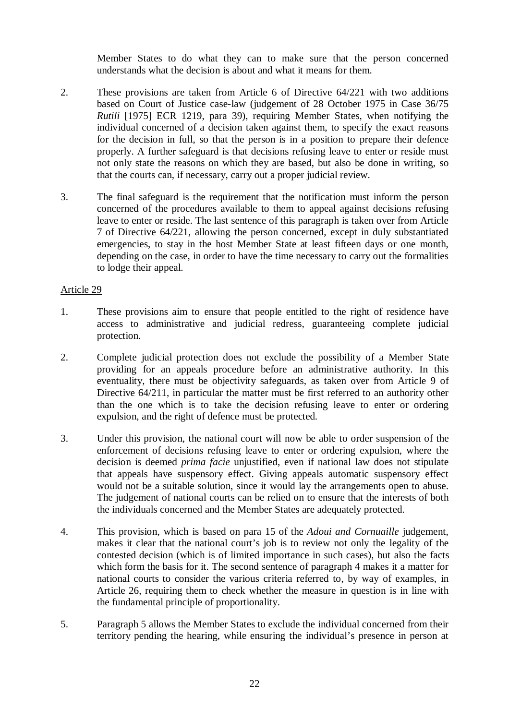Member States to do what they can to make sure that the person concerned understands what the decision is about and what it means for them.

- 2. These provisions are taken from Article 6 of Directive 64/221 with two additions based on Court of Justice case-law (judgement of 28 October 1975 in Case 36/75 *Rutili* [1975] ECR 1219, para 39), requiring Member States, when notifying the individual concerned of a decision taken against them, to specify the exact reasons for the decision in full, so that the person is in a position to prepare their defence properly. A further safeguard is that decisions refusing leave to enter or reside must not only state the reasons on which they are based, but also be done in writing, so that the courts can, if necessary, carry out a proper judicial review.
- 3. The final safeguard is the requirement that the notification must inform the person concerned of the procedures available to them to appeal against decisions refusing leave to enter or reside. The last sentence of this paragraph is taken over from Article 7 of Directive 64/221, allowing the person concerned, except in duly substantiated emergencies, to stay in the host Member State at least fifteen days or one month, depending on the case, in order to have the time necessary to carry out the formalities to lodge their appeal.

## Article 29

- 1. These provisions aim to ensure that people entitled to the right of residence have access to administrative and judicial redress, guaranteeing complete judicial protection.
- 2. Complete judicial protection does not exclude the possibility of a Member State providing for an appeals procedure before an administrative authority. In this eventuality, there must be objectivity safeguards, as taken over from Article 9 of Directive 64/211, in particular the matter must be first referred to an authority other than the one which is to take the decision refusing leave to enter or ordering expulsion, and the right of defence must be protected.
- 3. Under this provision, the national court will now be able to order suspension of the enforcement of decisions refusing leave to enter or ordering expulsion, where the decision is deemed *prima facie* unjustified, even if national law does not stipulate that appeals have suspensory effect. Giving appeals automatic suspensory effect would not be a suitable solution, since it would lay the arrangements open to abuse. The judgement of national courts can be relied on to ensure that the interests of both the individuals concerned and the Member States are adequately protected.
- 4. This provision, which is based on para 15 of the *Adoui and Cornuaille* judgement, makes it clear that the national court's job is to review not only the legality of the contested decision (which is of limited importance in such cases), but also the facts which form the basis for it. The second sentence of paragraph 4 makes it a matter for national courts to consider the various criteria referred to, by way of examples, in Article 26, requiring them to check whether the measure in question is in line with the fundamental principle of proportionality.
- 5. Paragraph 5 allows the Member States to exclude the individual concerned from their territory pending the hearing, while ensuring the individual's presence in person at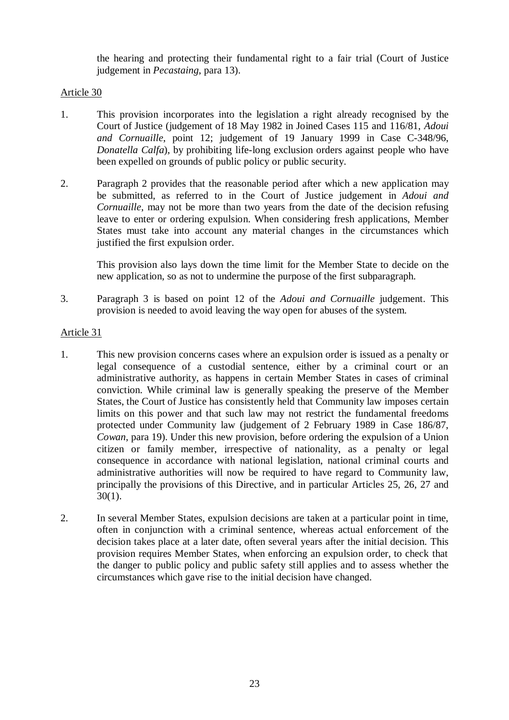the hearing and protecting their fundamental right to a fair trial (Court of Justice judgement in *Pecastaing*, para 13).

## Article 30

- 1. This provision incorporates into the legislation a right already recognised by the Court of Justice (judgement of 18 May 1982 in Joined Cases 115 and 116/81, *Adoui and Cornuaille*, point 12; judgement of 19 January 1999 in Case C-348/96, *Donatella Calfa*), by prohibiting life-long exclusion orders against people who have been expelled on grounds of public policy or public security.
- 2. Paragraph 2 provides that the reasonable period after which a new application may be submitted, as referred to in the Court of Justice judgement in *Adoui and Cornuaille*, may not be more than two years from the date of the decision refusing leave to enter or ordering expulsion. When considering fresh applications, Member States must take into account any material changes in the circumstances which justified the first expulsion order.

This provision also lays down the time limit for the Member State to decide on the new application, so as not to undermine the purpose of the first subparagraph.

3. Paragraph 3 is based on point 12 of the *Adoui and Cornuaille* judgement. This provision is needed to avoid leaving the way open for abuses of the system.

## Article 31

- 1. This new provision concerns cases where an expulsion order is issued as a penalty or legal consequence of a custodial sentence, either by a criminal court or an administrative authority, as happens in certain Member States in cases of criminal conviction. While criminal law is generally speaking the preserve of the Member States, the Court of Justice has consistently held that Community law imposes certain limits on this power and that such law may not restrict the fundamental freedoms protected under Community law (judgement of 2 February 1989 in Case 186/87, *Cowan*, para 19). Under this new provision, before ordering the expulsion of a Union citizen or family member, irrespective of nationality, as a penalty or legal consequence in accordance with national legislation, national criminal courts and administrative authorities will now be required to have regard to Community law, principally the provisions of this Directive, and in particular Articles 25, 26, 27 and 30(1).
- 2. In several Member States, expulsion decisions are taken at a particular point in time, often in conjunction with a criminal sentence, whereas actual enforcement of the decision takes place at a later date, often several years after the initial decision. This provision requires Member States, when enforcing an expulsion order, to check that the danger to public policy and public safety still applies and to assess whether the circumstances which gave rise to the initial decision have changed.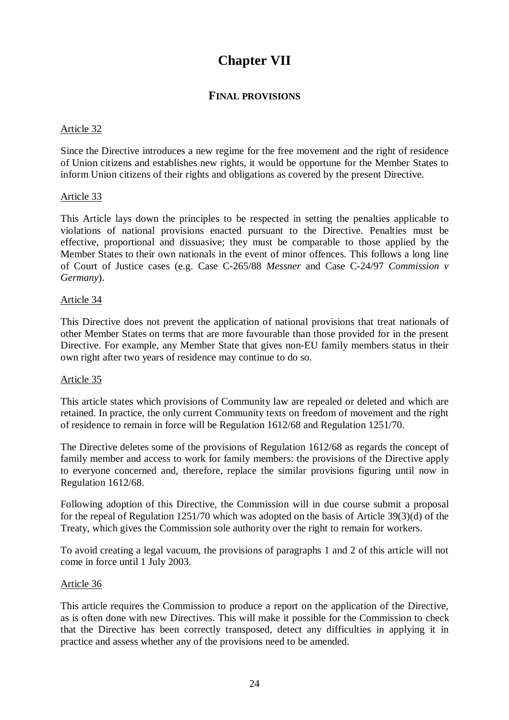# **Chapter VII**

## **FINAL PROVISIONS**

#### Article 32

Since the Directive introduces a new regime for the free movement and the right of residence of Union citizens and establishes new rights, it would be opportune for the Member States to inform Union citizens of their rights and obligations as covered by the present Directive.

#### Article 33

This Article lays down the principles to be respected in setting the penalties applicable to violations of national provisions enacted pursuant to the Directive. Penalties must be effective, proportional and dissuasive; they must be comparable to those applied by the Member States to their own nationals in the event of minor offences. This follows a long line of Court of Justice cases (e.g. Case C-265/88 *Messner* and Case C-24/97 *Commission v Germany*).

#### Article 34

This Directive does not prevent the application of national provisions that treat nationals of other Member States on terms that are more favourable than those provided for in the present Directive. For example, any Member State that gives non-EU family members status in their own right after two years of residence may continue to do so.

#### Article 35

This article states which provisions of Community law are repealed or deleted and which are retained. In practice, the only current Community texts on freedom of movement and the right of residence to remain in force will be Regulation 1612/68 and Regulation 1251/70.

The Directive deletes some of the provisions of Regulation 1612/68 as regards the concept of family member and access to work for family members: the provisions of the Directive apply to everyone concerned and, therefore, replace the similar provisions figuring until now in Regulation 1612/68.

Following adoption of this Directive, the Commission will in due course submit a proposal for the repeal of Regulation 1251/70 which was adopted on the basis of Article 39(3)(d) of the Treaty, which gives the Commission sole authority over the right to remain for workers.

To avoid creating a legal vacuum, the provisions of paragraphs 1 and 2 of this article will not come in force until 1 July 2003.

#### Article 36

This article requires the Commission to produce a report on the application of the Directive, as is often done with new Directives. This will make it possible for the Commission to check that the Directive has been correctly transposed, detect any difficulties in applying it in practice and assess whether any of the provisions need to be amended.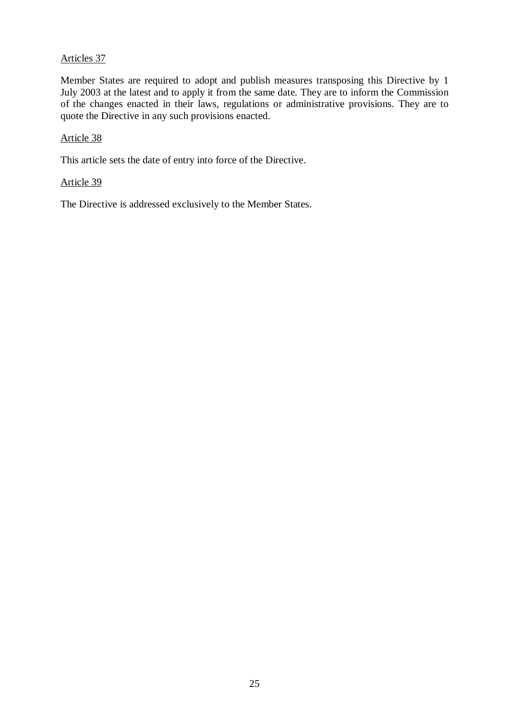## Articles 37

Member States are required to adopt and publish measures transposing this Directive by 1 July 2003 at the latest and to apply it from the same date*.* They are to inform the Commission of the changes enacted in their laws, regulations or administrative provisions. They are to quote the Directive in any such provisions enacted.

#### Article 38

This article sets the date of entry into force of the Directive.

#### Article 39

The Directive is addressed exclusively to the Member States.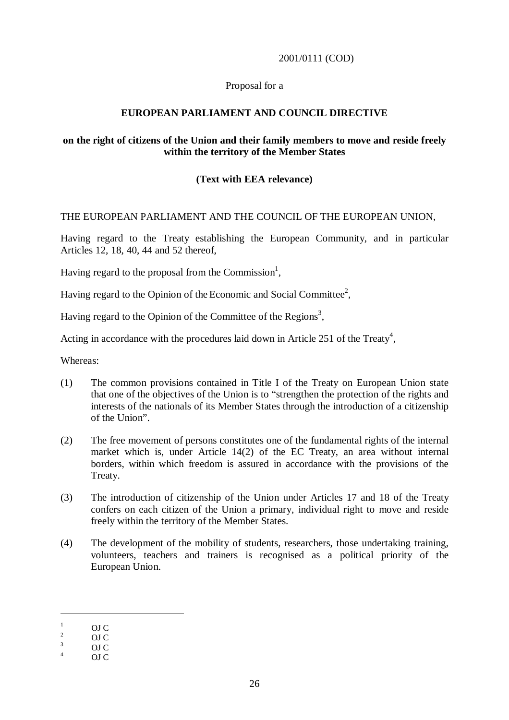#### 2001/0111 (COD)

#### Proposal for a

#### **EUROPEAN PARLIAMENT AND COUNCIL DIRECTIVE**

#### **on the right of citizens of the Union and their family members to move and reside freely within the territory of the Member States**

## **(Text with EEA relevance)**

#### THE EUROPEAN PARLIAMENT AND THE COUNCIL OF THE EUROPEAN UNION,

Having regard to the Treaty establishing the European Community, and in particular Articles 12, 18, 40, 44 and 52 thereof,

Having regard to the proposal from the Commission<sup>1</sup>,

Having regard to the Opinion of the Economic and Social Committee<sup>2</sup>,

Having regard to the Opinion of the Committee of the Regions<sup>3</sup>,

Acting in accordance with the procedures laid down in Article 251 of the Treaty<sup>4</sup>,

Whereas:

- (1) The common provisions contained in Title I of the Treaty on European Union state that one of the objectives of the Union is to "strengthen the protection of the rights and interests of the nationals of its Member States through the introduction of a citizenship of the Union".
- (2) The free movement of persons constitutes one of the fundamental rights of the internal market which is, under Article 14(2) of the EC Treaty, an area without internal borders, within which freedom is assured in accordance with the provisions of the Treaty.
- (3) The introduction of citizenship of the Union under Articles 17 and 18 of the Treaty confers on each citizen of the Union a primary, individual right to move and reside freely within the territory of the Member States.
- (4) The development of the mobility of students, researchers, those undertaking training, volunteers, teachers and trainers is recognised as a political priority of the European Union.

 $\begin{array}{ccc} \n\frac{1}{2} & \text{OJC} \\
\frac{3}{4} & \text{OJC} \\
\end{array}$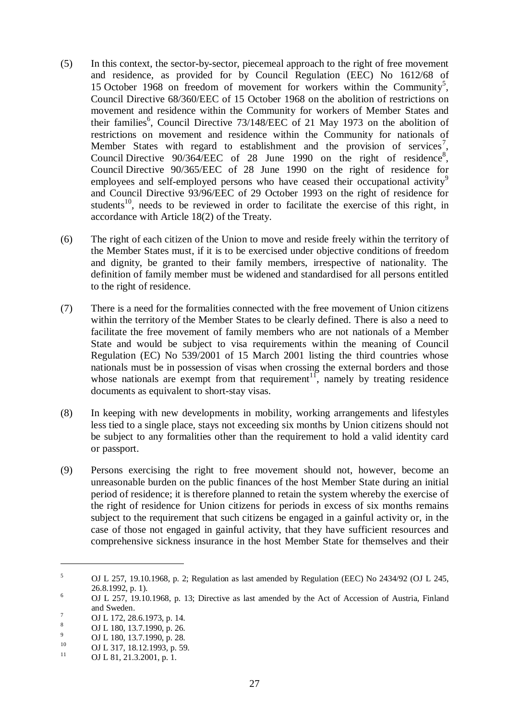- (5) In this context, the sector-by-sector, piecemeal approach to the right of free movement and residence, as provided for by Council Regulation (EEC) No 1612/68 of 15 October 1968 on freedom of movement for workers within the Community<sup>5</sup>, Council Directive 68/360/EEC of 15 October 1968 on the abolition of restrictions on movement and residence within the Community for workers of Member States and their families<sup>6</sup>, Council Directive 73/148/EEC of 21 May 1973 on the abolition of restrictions on movement and residence within the Community for nationals of Member States with regard to establishment and the provision of services<sup>7</sup>, Council Directive  $90/364/EEC$  of 28 June 1990 on the right of residence<sup>8</sup>, Council Directive 90/365/EEC of 28 June 1990 on the right of residence for employees and self-employed persons who have ceased their occupational activity<sup>9</sup> and Council Directive 93/96/EEC of 29 October 1993 on the right of residence for students<sup>10</sup>, needs to be reviewed in order to facilitate the exercise of this right, in accordance with Article 18(2) of the Treaty.
- (6) The right of each citizen of the Union to move and reside freely within the territory of the Member States must, if it is to be exercised under objective conditions of freedom and dignity, be granted to their family members, irrespective of nationality. The definition of family member must be widened and standardised for all persons entitled to the right of residence.
- (7) There is a need for the formalities connected with the free movement of Union citizens within the territory of the Member States to be clearly defined. There is also a need to facilitate the free movement of family members who are not nationals of a Member State and would be subject to visa requirements within the meaning of Council Regulation (EC) No 539/2001 of 15 March 2001 listing the third countries whose nationals must be in possession of visas when crossing the external borders and those whose nationals are exempt from that requirement<sup>11</sup>, namely by treating residence documents as equivalent to short-stay visas.
- (8) In keeping with new developments in mobility, working arrangements and lifestyles less tied to a single place, stays not exceeding six months by Union citizens should not be subject to any formalities other than the requirement to hold a valid identity card or passport.
- (9) Persons exercising the right to free movement should not, however, become an unreasonable burden on the public finances of the host Member State during an initial period of residence; it is therefore planned to retain the system whereby the exercise of the right of residence for Union citizens for periods in excess of six months remains subject to the requirement that such citizens be engaged in a gainful activity or, in the case of those not engaged in gainful activity, that they have sufficient resources and comprehensive sickness insurance in the host Member State for themselves and their

 $5$  OJ L 257, 19.10.1968, p. 2; Regulation as last amended by Regulation (EEC) No 2434/92 (OJ L 245, <sup>6</sup> OJ L 257, 19.10.1968, p. 13; Directive as last amended by the Act of Accession of Austria, Finland

and Sweden.<br>
<sup>7</sup> OJ L 172, 28.6.1973, p. 14.<br>
<sup>8</sup> OJ L 180, 13.7.1990, p. 26.<br>
<sup>9</sup> OJ L 180, 13.7.1990, p. 28.<br>
<sup>10</sup> OJ L 81, 21.3.2001, p. 1.<br>
OJ L 81, 21.3.2001, p. 1.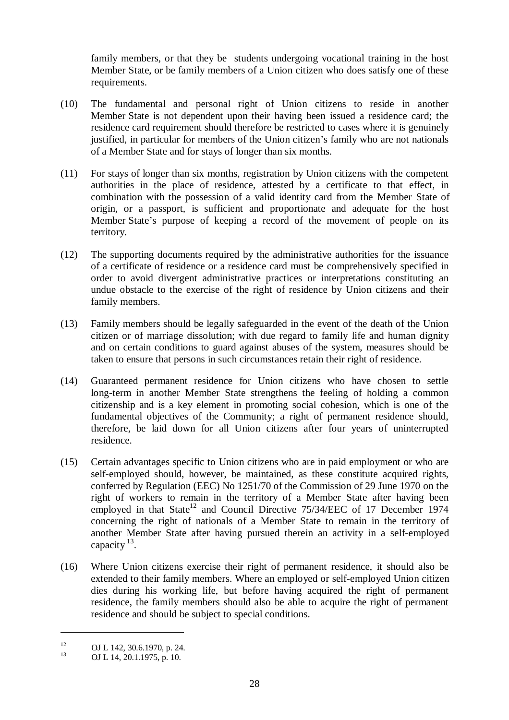family members, or that they be students undergoing vocational training in the host Member State, or be family members of a Union citizen who does satisfy one of these requirements.

- (10) The fundamental and personal right of Union citizens to reside in another Member State is not dependent upon their having been issued a residence card; the residence card requirement should therefore be restricted to cases where it is genuinely justified, in particular for members of the Union citizen's family who are not nationals of a Member State and for stays of longer than six months.
- (11) For stays of longer than six months, registration by Union citizens with the competent authorities in the place of residence, attested by a certificate to that effect, in combination with the possession of a valid identity card from the Member State of origin, or a passport, is sufficient and proportionate and adequate for the host Member State's purpose of keeping a record of the movement of people on its territory.
- (12) The supporting documents required by the administrative authorities for the issuance of a certificate of residence or a residence card must be comprehensively specified in order to avoid divergent administrative practices or interpretations constituting an undue obstacle to the exercise of the right of residence by Union citizens and their family members.
- (13) Family members should be legally safeguarded in the event of the death of the Union citizen or of marriage dissolution; with due regard to family life and human dignity and on certain conditions to guard against abuses of the system, measures should be taken to ensure that persons in such circumstances retain their right of residence.
- (14) Guaranteed permanent residence for Union citizens who have chosen to settle long-term in another Member State strengthens the feeling of holding a common citizenship and is a key element in promoting social cohesion, which is one of the fundamental objectives of the Community; a right of permanent residence should, therefore, be laid down for all Union citizens after four years of uninterrupted residence.
- (15) Certain advantages specific to Union citizens who are in paid employment or who are self-employed should, however, be maintained, as these constitute acquired rights, conferred by Regulation (EEC) No 1251/70 of the Commission of 29 June 1970 on the right of workers to remain in the territory of a Member State after having been employed in that State<sup>12</sup> and Council Directive  $75/34/EEC$  of 17 December 1974 concerning the right of nationals of a Member State to remain in the territory of another Member State after having pursued therein an activity in a self-employed capacity  $^{13}$ .
- (16) Where Union citizens exercise their right of permanent residence, it should also be extended to their family members. Where an employed or self-employed Union citizen dies during his working life, but before having acquired the right of permanent residence, the family members should also be able to acquire the right of permanent residence and should be subject to special conditions.

<sup>&</sup>lt;sup>12</sup> **OJ L 142, 30.6.1970, p. 24. OJ L 14, 20.1.1975, p. 10.**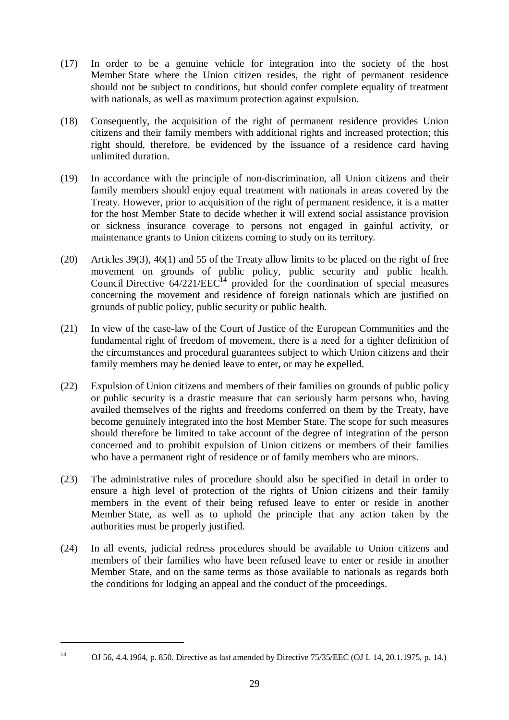- (17) In order to be a genuine vehicle for integration into the society of the host Member State where the Union citizen resides, the right of permanent residence should not be subject to conditions, but should confer complete equality of treatment with nationals, as well as maximum protection against expulsion.
- (18) Consequently, the acquisition of the right of permanent residence provides Union citizens and their family members with additional rights and increased protection; this right should, therefore, be evidenced by the issuance of a residence card having unlimited duration.
- (19) In accordance with the principle of non-discrimination, all Union citizens and their family members should enjoy equal treatment with nationals in areas covered by the Treaty. However, prior to acquisition of the right of permanent residence, it is a matter for the host Member State to decide whether it will extend social assistance provision or sickness insurance coverage to persons not engaged in gainful activity, or maintenance grants to Union citizens coming to study on its territory.
- (20) Articles 39(3), 46(1) and 55 of the Treaty allow limits to be placed on the right of free movement on grounds of public policy, public security and public health. Council Directive  $64/221/EEC<sup>14</sup>$  provided for the coordination of special measures concerning the movement and residence of foreign nationals which are justified on grounds of public policy, public security or public health.
- (21) In view of the case-law of the Court of Justice of the European Communities and the fundamental right of freedom of movement, there is a need for a tighter definition of the circumstances and procedural guarantees subject to which Union citizens and their family members may be denied leave to enter, or may be expelled.
- (22) Expulsion of Union citizens and members of their families on grounds of public policy or public security is a drastic measure that can seriously harm persons who, having availed themselves of the rights and freedoms conferred on them by the Treaty, have become genuinely integrated into the host Member State. The scope for such measures should therefore be limited to take account of the degree of integration of the person concerned and to prohibit expulsion of Union citizens or members of their families who have a permanent right of residence or of family members who are minors.
- (23) The administrative rules of procedure should also be specified in detail in order to ensure a high level of protection of the rights of Union citizens and their family members in the event of their being refused leave to enter or reside in another Member State, as well as to uphold the principle that any action taken by the authorities must be properly justified.
- (24) In all events, judicial redress procedures should be available to Union citizens and members of their families who have been refused leave to enter or reside in another Member State, and on the same terms as those available to nationals as regards both the conditions for lodging an appeal and the conduct of the proceedings.

<sup>&</sup>lt;sup>14</sup> OJ 56, 4.4.1964, p. 850. Directive as last amended by Directive 75/35/EEC (OJ L 14, 20.1.1975, p. 14.)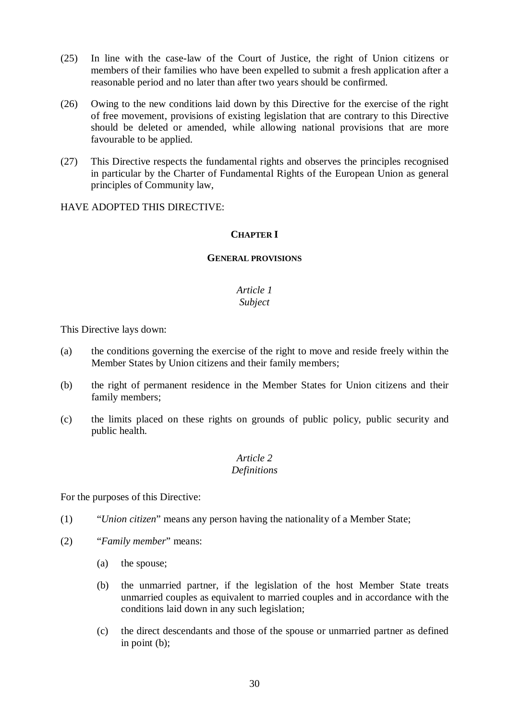- (25) In line with the case-law of the Court of Justice, the right of Union citizens or members of their families who have been expelled to submit a fresh application after a reasonable period and no later than after two years should be confirmed.
- (26) Owing to the new conditions laid down by this Directive for the exercise of the right of free movement, provisions of existing legislation that are contrary to this Directive should be deleted or amended, while allowing national provisions that are more favourable to be applied.
- (27) This Directive respects the fundamental rights and observes the principles recognised in particular by the Charter of Fundamental Rights of the European Union as general principles of Community law,

#### HAVE ADOPTED THIS DIRECTIVE:

## **CHAPTER I**

#### **GENERAL PROVISIONS**

#### *Article 1 Subject*

This Directive lays down:

- (a) the conditions governing the exercise of the right to move and reside freely within the Member States by Union citizens and their family members;
- (b) the right of permanent residence in the Member States for Union citizens and their family members;
- (c) the limits placed on these rights on grounds of public policy, public security and public health.

#### *Article 2 Definitions*

For the purposes of this Directive:

- (1) "*Union citizen*" means any person having the nationality of a Member State;
- (2) "*Family member*" means:
	- (a) the spouse;
	- (b) the unmarried partner, if the legislation of the host Member State treats unmarried couples as equivalent to married couples and in accordance with the conditions laid down in any such legislation;
	- (c) the direct descendants and those of the spouse or unmarried partner as defined in point (b);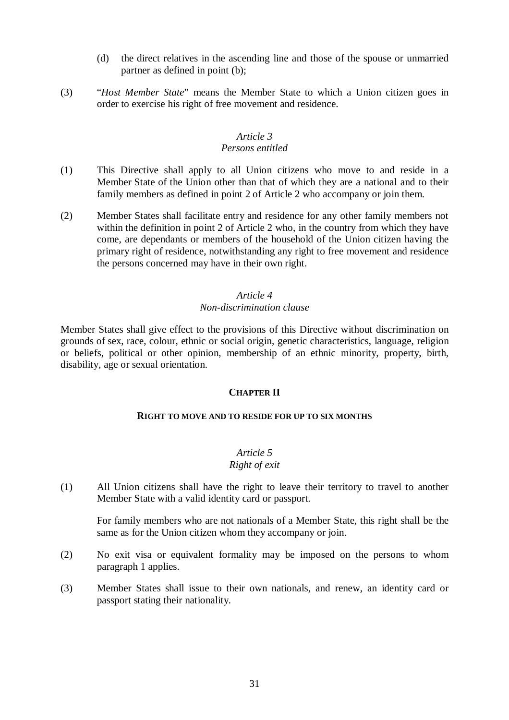- (d) the direct relatives in the ascending line and those of the spouse or unmarried partner as defined in point (b);
- (3) "*Host Member State*" means the Member State to which a Union citizen goes in order to exercise his right of free movement and residence.

## *Article 3*

## *Persons entitled*

- (1) This Directive shall apply to all Union citizens who move to and reside in a Member State of the Union other than that of which they are a national and to their family members as defined in point 2 of Article 2 who accompany or join them.
- (2) Member States shall facilitate entry and residence for any other family members not within the definition in point 2 of Article 2 who, in the country from which they have come, are dependants or members of the household of the Union citizen having the primary right of residence, notwithstanding any right to free movement and residence the persons concerned may have in their own right.

#### *Article 4*

## *Non-discrimination clause*

Member States shall give effect to the provisions of this Directive without discrimination on grounds of sex, race, colour, ethnic or social origin, genetic characteristics, language, religion or beliefs, political or other opinion, membership of an ethnic minority, property, birth, disability, age or sexual orientation.

## **CHAPTER II**

#### **RIGHT TO MOVE AND TO RESIDE FOR UP TO SIX MONTHS**

## *Article 5*

## *Right of exit*

(1) All Union citizens shall have the right to leave their territory to travel to another Member State with a valid identity card or passport.

For family members who are not nationals of a Member State, this right shall be the same as for the Union citizen whom they accompany or join.

- (2) No exit visa or equivalent formality may be imposed on the persons to whom paragraph 1 applies.
- (3) Member States shall issue to their own nationals, and renew, an identity card or passport stating their nationality.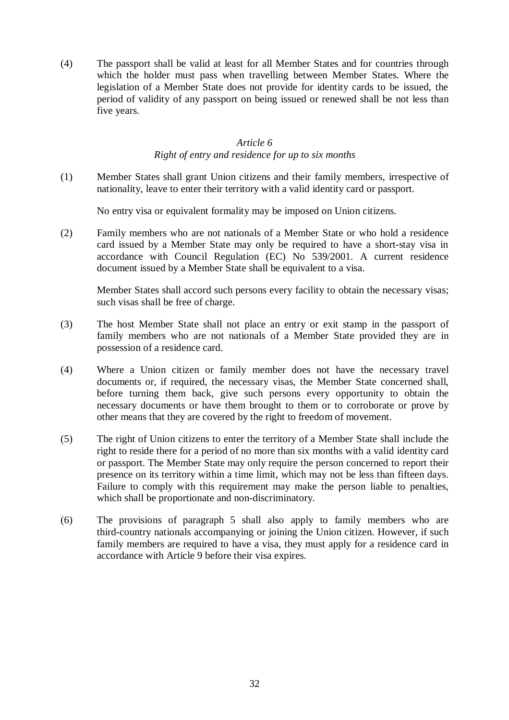(4) The passport shall be valid at least for all Member States and for countries through which the holder must pass when travelling between Member States. Where the legislation of a Member State does not provide for identity cards to be issued, the period of validity of any passport on being issued or renewed shall be not less than five years.

#### *Article 6*

#### *Right of entry and residence for up to six months*

(1) Member States shall grant Union citizens and their family members, irrespective of nationality, leave to enter their territory with a valid identity card or passport.

No entry visa or equivalent formality may be imposed on Union citizens.

(2) Family members who are not nationals of a Member State or who hold a residence card issued by a Member State may only be required to have a short-stay visa in accordance with Council Regulation (EC) No 539/2001. A current residence document issued by a Member State shall be equivalent to a visa.

Member States shall accord such persons every facility to obtain the necessary visas; such visas shall be free of charge.

- (3) The host Member State shall not place an entry or exit stamp in the passport of family members who are not nationals of a Member State provided they are in possession of a residence card.
- (4) Where a Union citizen or family member does not have the necessary travel documents or, if required, the necessary visas, the Member State concerned shall, before turning them back, give such persons every opportunity to obtain the necessary documents or have them brought to them or to corroborate or prove by other means that they are covered by the right to freedom of movement.
- (5) The right of Union citizens to enter the territory of a Member State shall include the right to reside there for a period of no more than six months with a valid identity card or passport. The Member State may only require the person concerned to report their presence on its territory within a time limit, which may not be less than fifteen days. Failure to comply with this requirement may make the person liable to penalties, which shall be proportionate and non-discriminatory.
- (6) The provisions of paragraph 5 shall also apply to family members who are third-country nationals accompanying or joining the Union citizen. However, if such family members are required to have a visa, they must apply for a residence card in accordance with Article 9 before their visa expires.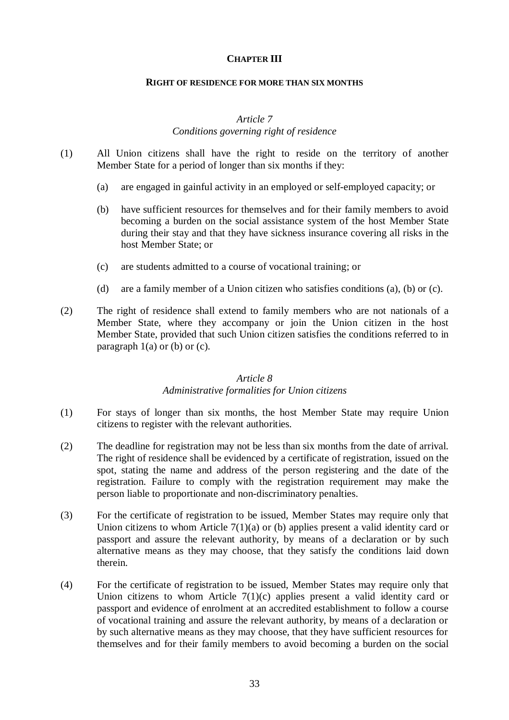#### **CHAPTER III**

#### **RIGHT OF RESIDENCE FOR MORE THAN SIX MONTHS**

#### *Article 7*

## *Conditions governing right of residence*

- (1) All Union citizens shall have the right to reside on the territory of another Member State for a period of longer than six months if they:
	- (a) are engaged in gainful activity in an employed or self-employed capacity; or
	- (b) have sufficient resources for themselves and for their family members to avoid becoming a burden on the social assistance system of the host Member State during their stay and that they have sickness insurance covering all risks in the host Member State; or
	- (c) are students admitted to a course of vocational training; or
	- (d) are a family member of a Union citizen who satisfies conditions (a), (b) or (c).
- (2) The right of residence shall extend to family members who are not nationals of a Member State, where they accompany or join the Union citizen in the host Member State, provided that such Union citizen satisfies the conditions referred to in paragraph  $1(a)$  or (b) or (c).

#### *Article 8*

## *Administrative formalities for Union citizens*

- (1) For stays of longer than six months, the host Member State may require Union citizens to register with the relevant authorities.
- (2) The deadline for registration may not be less than six months from the date of arrival. The right of residence shall be evidenced by a certificate of registration, issued on the spot, stating the name and address of the person registering and the date of the registration. Failure to comply with the registration requirement may make the person liable to proportionate and non-discriminatory penalties.
- (3) For the certificate of registration to be issued, Member States may require only that Union citizens to whom Article 7(1)(a) or (b) applies present a valid identity card or passport and assure the relevant authority, by means of a declaration or by such alternative means as they may choose, that they satisfy the conditions laid down therein.
- (4) For the certificate of registration to be issued, Member States may require only that Union citizens to whom Article  $7(1)(c)$  applies present a valid identity card or passport and evidence of enrolment at an accredited establishment to follow a course of vocational training and assure the relevant authority, by means of a declaration or by such alternative means as they may choose, that they have sufficient resources for themselves and for their family members to avoid becoming a burden on the social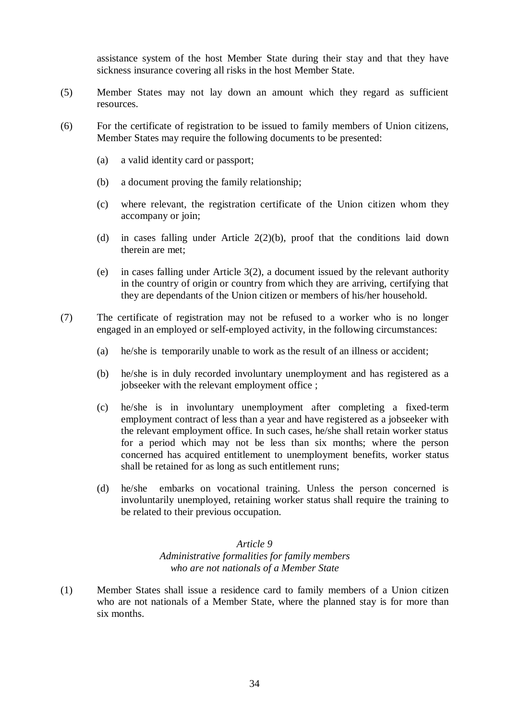assistance system of the host Member State during their stay and that they have sickness insurance covering all risks in the host Member State.

- (5) Member States may not lay down an amount which they regard as sufficient resources.
- (6) For the certificate of registration to be issued to family members of Union citizens, Member States may require the following documents to be presented:
	- (a) a valid identity card or passport;
	- (b) a document proving the family relationship;
	- (c) where relevant, the registration certificate of the Union citizen whom they accompany or join;
	- (d) in cases falling under Article 2(2)(b), proof that the conditions laid down therein are met;
	- (e) in cases falling under Article 3(2), a document issued by the relevant authority in the country of origin or country from which they are arriving, certifying that they are dependants of the Union citizen or members of his/her household.
- (7) The certificate of registration may not be refused to a worker who is no longer engaged in an employed or self-employed activity, in the following circumstances:
	- (a) he/she is temporarily unable to work as the result of an illness or accident;
	- (b) he/she is in duly recorded involuntary unemployment and has registered as a jobseeker with the relevant employment office ;
	- (c) he/she is in involuntary unemployment after completing a fixed-term employment contract of less than a year and have registered as a jobseeker with the relevant employment office. In such cases, he/she shall retain worker status for a period which may not be less than six months; where the person concerned has acquired entitlement to unemployment benefits, worker status shall be retained for as long as such entitlement runs;
	- (d) he/she embarks on vocational training. Unless the person concerned is involuntarily unemployed, retaining worker status shall require the training to be related to their previous occupation.

#### *Article 9*

*Administrative formalities for family members who are not nationals of a Member State*

(1) Member States shall issue a residence card to family members of a Union citizen who are not nationals of a Member State, where the planned stay is for more than six months.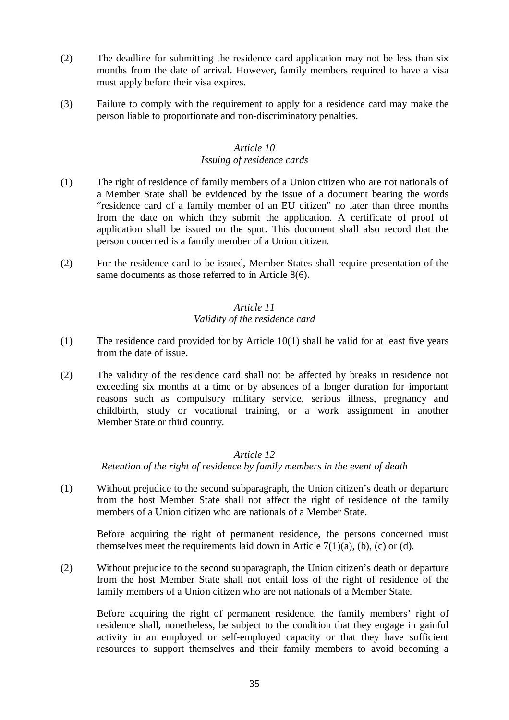- (2) The deadline for submitting the residence card application may not be less than six months from the date of arrival. However, family members required to have a visa must apply before their visa expires.
- (3) Failure to comply with the requirement to apply for a residence card may make the person liable to proportionate and non-discriminatory penalties.

## *Article 10 Issuing of residence cards*

- (1) The right of residence of family members of a Union citizen who are not nationals of a Member State shall be evidenced by the issue of a document bearing the words "residence card of a family member of an EU citizen" no later than three months from the date on which they submit the application. A certificate of proof of application shall be issued on the spot. This document shall also record that the person concerned is a family member of a Union citizen.
- (2) For the residence card to be issued, Member States shall require presentation of the same documents as those referred to in Article 8(6).

## *Article 11 Validity of the residence card*

- (1) The residence card provided for by Article 10(1) shall be valid for at least five years from the date of issue.
- (2) The validity of the residence card shall not be affected by breaks in residence not exceeding six months at a time or by absences of a longer duration for important reasons such as compulsory military service, serious illness, pregnancy and childbirth, study or vocational training, or a work assignment in another Member State or third country.

## *Article 12*

*Retention of the right of residence by family members in the event of death*

(1) Without prejudice to the second subparagraph, the Union citizen's death or departure from the host Member State shall not affect the right of residence of the family members of a Union citizen who are nationals of a Member State.

Before acquiring the right of permanent residence, the persons concerned must themselves meet the requirements laid down in Article  $7(1)(a)$ , (b), (c) or (d).

(2) Without prejudice to the second subparagraph, the Union citizen's death or departure from the host Member State shall not entail loss of the right of residence of the family members of a Union citizen who are not nationals of a Member State.

Before acquiring the right of permanent residence, the family members' right of residence shall, nonetheless, be subject to the condition that they engage in gainful activity in an employed or self-employed capacity or that they have sufficient resources to support themselves and their family members to avoid becoming a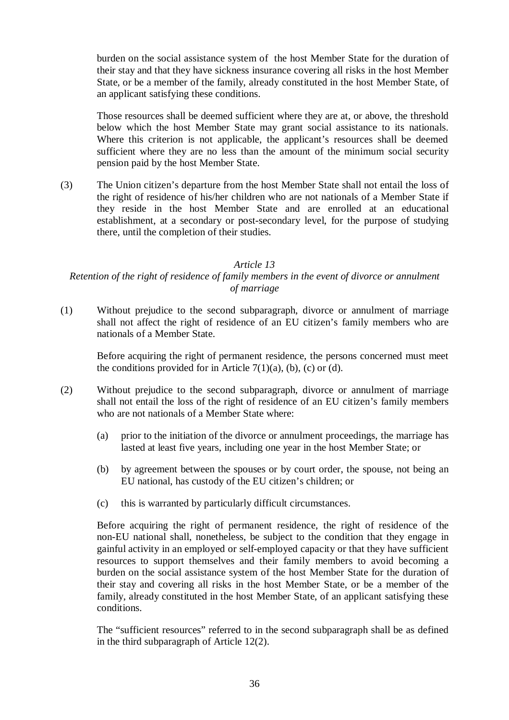burden on the social assistance system of the host Member State for the duration of their stay and that they have sickness insurance covering all risks in the host Member State, or be a member of the family, already constituted in the host Member State, of an applicant satisfying these conditions.

Those resources shall be deemed sufficient where they are at, or above, the threshold below which the host Member State may grant social assistance to its nationals. Where this criterion is not applicable, the applicant's resources shall be deemed sufficient where they are no less than the amount of the minimum social security pension paid by the host Member State.

(3) The Union citizen's departure from the host Member State shall not entail the loss of the right of residence of his/her children who are not nationals of a Member State if they reside in the host Member State and are enrolled at an educational establishment, at a secondary or post-secondary level, for the purpose of studying there, until the completion of their studies.

#### *Article 13*

## *Retention of the right of residence of family members in the event of divorce or annulment of marriage*

(1) Without prejudice to the second subparagraph, divorce or annulment of marriage shall not affect the right of residence of an EU citizen's family members who are nationals of a Member State.

Before acquiring the right of permanent residence, the persons concerned must meet the conditions provided for in Article  $7(1)(a)$ , (b), (c) or (d).

- (2) Without prejudice to the second subparagraph, divorce or annulment of marriage shall not entail the loss of the right of residence of an EU citizen's family members who are not nationals of a Member State where:
	- (a) prior to the initiation of the divorce or annulment proceedings, the marriage has lasted at least five years, including one year in the host Member State; or
	- (b) by agreement between the spouses or by court order, the spouse, not being an EU national, has custody of the EU citizen's children; or
	- (c) this is warranted by particularly difficult circumstances.

Before acquiring the right of permanent residence, the right of residence of the non-EU national shall, nonetheless, be subject to the condition that they engage in gainful activity in an employed or self-employed capacity or that they have sufficient resources to support themselves and their family members to avoid becoming a burden on the social assistance system of the host Member State for the duration of their stay and covering all risks in the host Member State, or be a member of the family, already constituted in the host Member State, of an applicant satisfying these conditions.

The "sufficient resources" referred to in the second subparagraph shall be as defined in the third subparagraph of Article 12(2).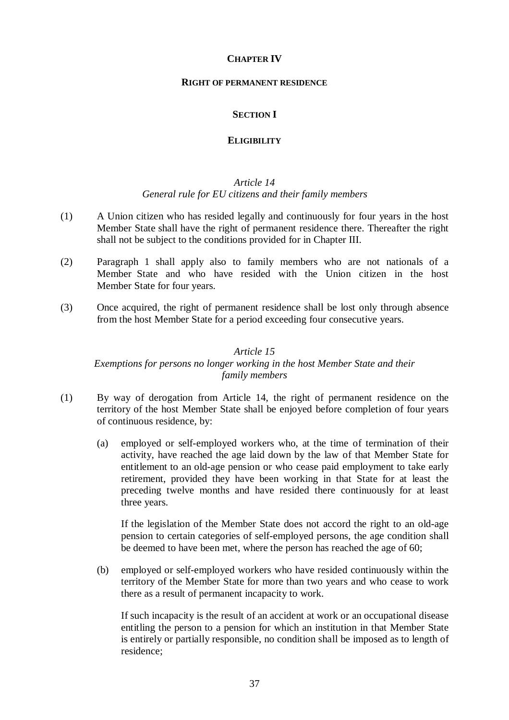#### **CHAPTER IV**

#### **RIGHT OF PERMANENT RESIDENCE**

## **SECTION I**

#### **ELIGIBILITY**

#### *Article 14 General rule for EU citizens and their family members*

- (1) A Union citizen who has resided legally and continuously for four years in the host Member State shall have the right of permanent residence there. Thereafter the right shall not be subject to the conditions provided for in Chapter III.
- (2) Paragraph 1 shall apply also to family members who are not nationals of a Member State and who have resided with the Union citizen in the host Member State for four years.
- (3) Once acquired, the right of permanent residence shall be lost only through absence from the host Member State for a period exceeding four consecutive years.

#### *Article 15*

#### *Exemptions for persons no longer working in the host Member State and their family members*

- (1) By way of derogation from Article 14, the right of permanent residence on the territory of the host Member State shall be enjoyed before completion of four years of continuous residence, by:
	- (a) employed or self-employed workers who, at the time of termination of their activity, have reached the age laid down by the law of that Member State for entitlement to an old-age pension or who cease paid employment to take early retirement, provided they have been working in that State for at least the preceding twelve months and have resided there continuously for at least three years.

If the legislation of the Member State does not accord the right to an old-age pension to certain categories of self-employed persons, the age condition shall be deemed to have been met, where the person has reached the age of 60;

(b) employed or self-employed workers who have resided continuously within the territory of the Member State for more than two years and who cease to work there as a result of permanent incapacity to work.

If such incapacity is the result of an accident at work or an occupational disease entitling the person to a pension for which an institution in that Member State is entirely or partially responsible, no condition shall be imposed as to length of residence;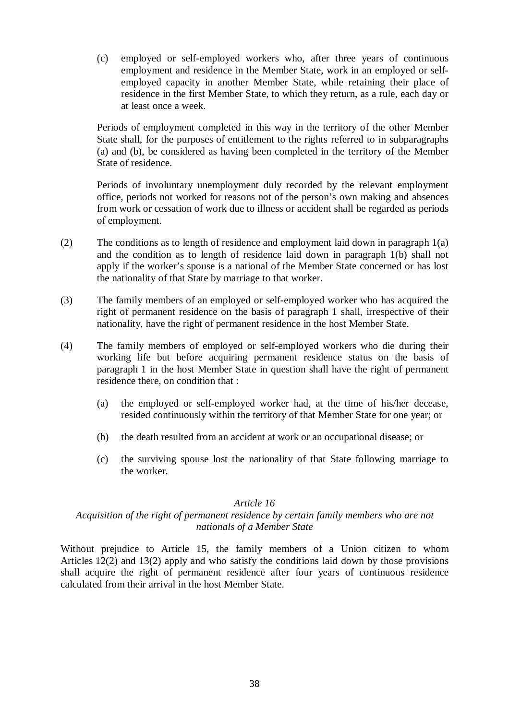(c) employed or self-employed workers who, after three years of continuous employment and residence in the Member State, work in an employed or selfemployed capacity in another Member State, while retaining their place of residence in the first Member State, to which they return, as a rule, each day or at least once a week.

Periods of employment completed in this way in the territory of the other Member State shall, for the purposes of entitlement to the rights referred to in subparagraphs (a) and (b), be considered as having been completed in the territory of the Member State of residence.

Periods of involuntary unemployment duly recorded by the relevant employment office, periods not worked for reasons not of the person's own making and absences from work or cessation of work due to illness or accident shall be regarded as periods of employment.

- (2) The conditions as to length of residence and employment laid down in paragraph 1(a) and the condition as to length of residence laid down in paragraph 1(b) shall not apply if the worker's spouse is a national of the Member State concerned or has lost the nationality of that State by marriage to that worker.
- (3) The family members of an employed or self-employed worker who has acquired the right of permanent residence on the basis of paragraph 1 shall, irrespective of their nationality, have the right of permanent residence in the host Member State.
- (4) The family members of employed or self-employed workers who die during their working life but before acquiring permanent residence status on the basis of paragraph 1 in the host Member State in question shall have the right of permanent residence there, on condition that :
	- (a) the employed or self-employed worker had, at the time of his/her decease, resided continuously within the territory of that Member State for one year; or
	- (b) the death resulted from an accident at work or an occupational disease; or
	- (c) the surviving spouse lost the nationality of that State following marriage to the worker.

## *Article 16*

#### *Acquisition of the right of permanent residence by certain family members who are not nationals of a Member State*

Without prejudice to Article 15, the family members of a Union citizen to whom Articles 12(2) and 13(2) apply and who satisfy the conditions laid down by those provisions shall acquire the right of permanent residence after four years of continuous residence calculated from their arrival in the host Member State.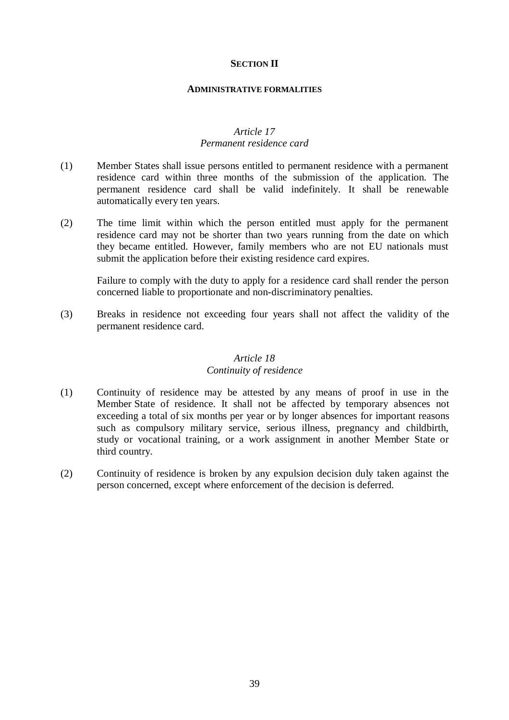#### **SECTION II**

#### **ADMINISTRATIVE FORMALITIES**

#### *Article 17 Permanent residence card*

- (1) Member States shall issue persons entitled to permanent residence with a permanent residence card within three months of the submission of the application. The permanent residence card shall be valid indefinitely. It shall be renewable automatically every ten years.
- (2) The time limit within which the person entitled must apply for the permanent residence card may not be shorter than two years running from the date on which they became entitled. However, family members who are not EU nationals must submit the application before their existing residence card expires.

Failure to comply with the duty to apply for a residence card shall render the person concerned liable to proportionate and non-discriminatory penalties.

(3) Breaks in residence not exceeding four years shall not affect the validity of the permanent residence card.

#### *Article 18 Continuity of residence*

- (1) Continuity of residence may be attested by any means of proof in use in the Member State of residence. It shall not be affected by temporary absences not exceeding a total of six months per year or by longer absences for important reasons such as compulsory military service, serious illness, pregnancy and childbirth, study or vocational training, or a work assignment in another Member State or third country.
- (2) Continuity of residence is broken by any expulsion decision duly taken against the person concerned, except where enforcement of the decision is deferred.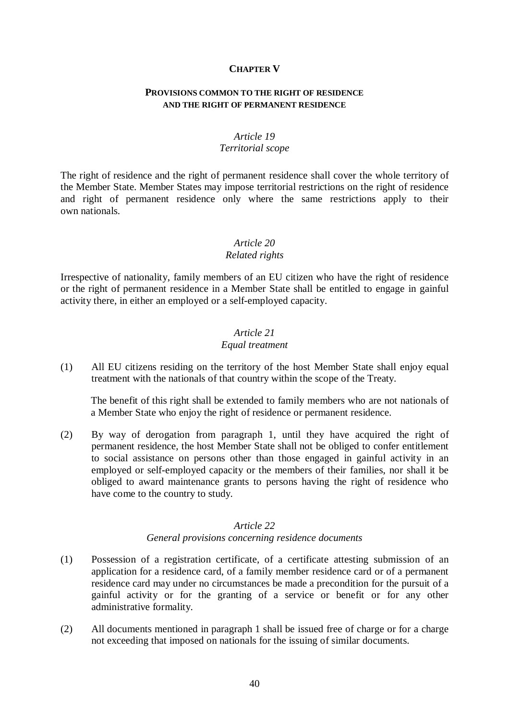#### **CHAPTER V**

#### **PROVISIONS COMMON TO THE RIGHT OF RESIDENCE AND THE RIGHT OF PERMANENT RESIDENCE**

#### *Article 19 Territorial scope*

The right of residence and the right of permanent residence shall cover the whole territory of the Member State. Member States may impose territorial restrictions on the right of residence and right of permanent residence only where the same restrictions apply to their own nationals.

## *Article 20*

#### *Related rights*

Irrespective of nationality, family members of an EU citizen who have the right of residence or the right of permanent residence in a Member State shall be entitled to engage in gainful activity there, in either an employed or a self-employed capacity.

## *Article 21*

#### *Equal treatment*

(1) All EU citizens residing on the territory of the host Member State shall enjoy equal treatment with the nationals of that country within the scope of the Treaty.

The benefit of this right shall be extended to family members who are not nationals of a Member State who enjoy the right of residence or permanent residence.

(2) By way of derogation from paragraph 1, until they have acquired the right of permanent residence, the host Member State shall not be obliged to confer entitlement to social assistance on persons other than those engaged in gainful activity in an employed or self-employed capacity or the members of their families, nor shall it be obliged to award maintenance grants to persons having the right of residence who have come to the country to study.

#### *Article 22*

#### *General provisions concerning residence documents*

- (1) Possession of a registration certificate, of a certificate attesting submission of an application for a residence card, of a family member residence card or of a permanent residence card may under no circumstances be made a precondition for the pursuit of a gainful activity or for the granting of a service or benefit or for any other administrative formality.
- (2) All documents mentioned in paragraph 1 shall be issued free of charge or for a charge not exceeding that imposed on nationals for the issuing of similar documents.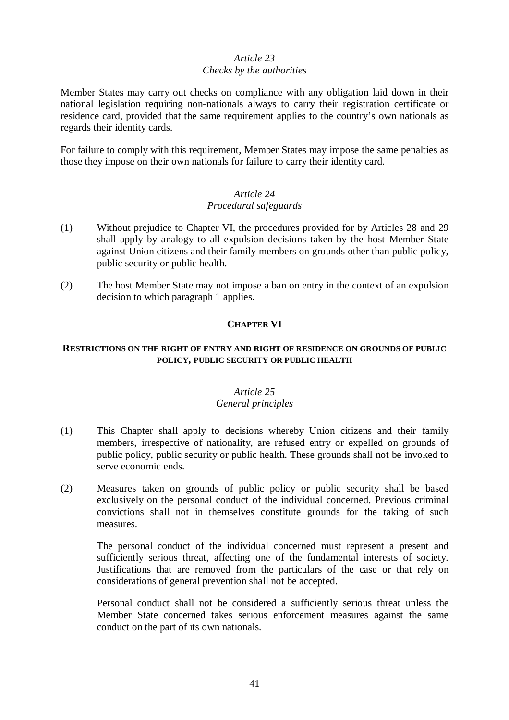## *Article 23 Checks by the authorities*

Member States may carry out checks on compliance with any obligation laid down in their national legislation requiring non-nationals always to carry their registration certificate or residence card, provided that the same requirement applies to the country's own nationals as regards their identity cards.

For failure to comply with this requirement, Member States may impose the same penalties as those they impose on their own nationals for failure to carry their identity card.

#### *Article 24 Procedural safeguards*

- (1) Without prejudice to Chapter VI, the procedures provided for by Articles 28 and 29 shall apply by analogy to all expulsion decisions taken by the host Member State against Union citizens and their family members on grounds other than public policy, public security or public health.
- (2) The host Member State may not impose a ban on entry in the context of an expulsion decision to which paragraph 1 applies.

## **CHAPTER VI**

#### **RESTRICTIONS ON THE RIGHT OF ENTRY AND RIGHT OF RESIDENCE ON GROUNDS OF PUBLIC POLICY, PUBLIC SECURITY OR PUBLIC HEALTH**

#### *Article 25 General principles*

- (1) This Chapter shall apply to decisions whereby Union citizens and their family members, irrespective of nationality, are refused entry or expelled on grounds of public policy, public security or public health. These grounds shall not be invoked to serve economic ends.
- (2) Measures taken on grounds of public policy or public security shall be based exclusively on the personal conduct of the individual concerned. Previous criminal convictions shall not in themselves constitute grounds for the taking of such measures.

The personal conduct of the individual concerned must represent a present and sufficiently serious threat, affecting one of the fundamental interests of society. Justifications that are removed from the particulars of the case or that rely on considerations of general prevention shall not be accepted.

Personal conduct shall not be considered a sufficiently serious threat unless the Member State concerned takes serious enforcement measures against the same conduct on the part of its own nationals.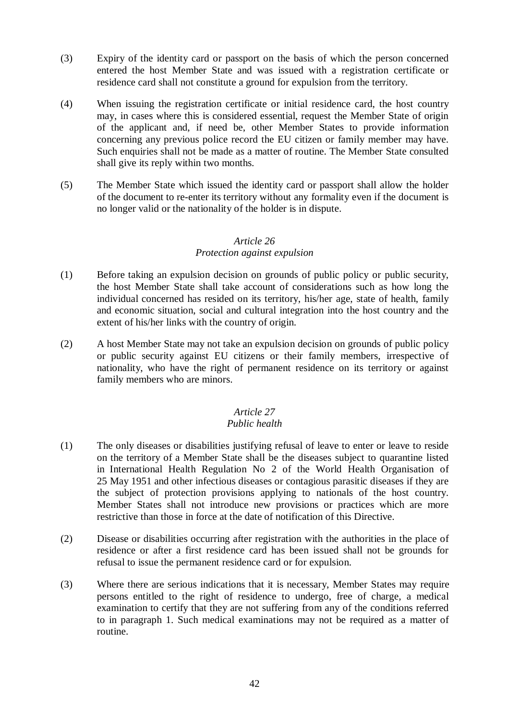- (3) Expiry of the identity card or passport on the basis of which the person concerned entered the host Member State and was issued with a registration certificate or residence card shall not constitute a ground for expulsion from the territory.
- (4) When issuing the registration certificate or initial residence card, the host country may, in cases where this is considered essential, request the Member State of origin of the applicant and, if need be, other Member States to provide information concerning any previous police record the EU citizen or family member may have. Such enquiries shall not be made as a matter of routine. The Member State consulted shall give its reply within two months.
- (5) The Member State which issued the identity card or passport shall allow the holder of the document to re-enter its territory without any formality even if the document is no longer valid or the nationality of the holder is in dispute.

## *Article 26*

#### *Protection against expulsion*

- (1) Before taking an expulsion decision on grounds of public policy or public security, the host Member State shall take account of considerations such as how long the individual concerned has resided on its territory, his/her age, state of health, family and economic situation, social and cultural integration into the host country and the extent of his/her links with the country of origin.
- (2) A host Member State may not take an expulsion decision on grounds of public policy or public security against EU citizens or their family members, irrespective of nationality, who have the right of permanent residence on its territory or against family members who are minors.

## *Article 27*

## *Public health*

- (1) The only diseases or disabilities justifying refusal of leave to enter or leave to reside on the territory of a Member State shall be the diseases subject to quarantine listed in International Health Regulation No 2 of the World Health Organisation of 25 May 1951 and other infectious diseases or contagious parasitic diseases if they are the subject of protection provisions applying to nationals of the host country. Member States shall not introduce new provisions or practices which are more restrictive than those in force at the date of notification of this Directive.
- (2) Disease or disabilities occurring after registration with the authorities in the place of residence or after a first residence card has been issued shall not be grounds for refusal to issue the permanent residence card or for expulsion.
- (3) Where there are serious indications that it is necessary, Member States may require persons entitled to the right of residence to undergo, free of charge, a medical examination to certify that they are not suffering from any of the conditions referred to in paragraph 1. Such medical examinations may not be required as a matter of routine.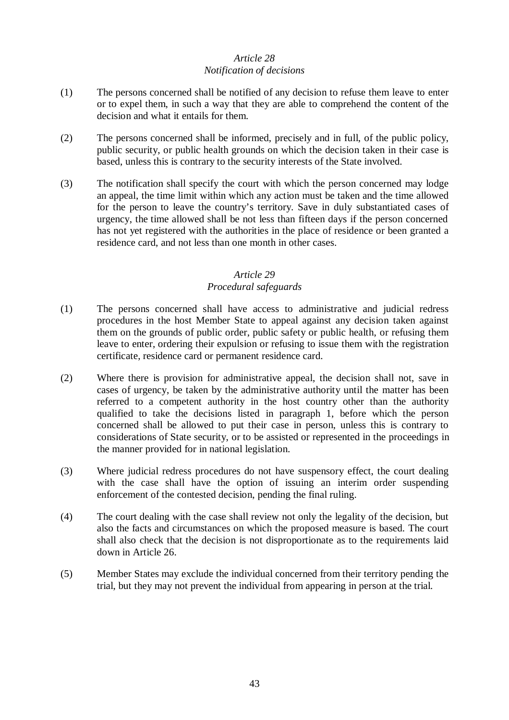## *Article 28 Notification of decisions*

- (1) The persons concerned shall be notified of any decision to refuse them leave to enter or to expel them, in such a way that they are able to comprehend the content of the decision and what it entails for them.
- (2) The persons concerned shall be informed, precisely and in full, of the public policy, public security, or public health grounds on which the decision taken in their case is based, unless this is contrary to the security interests of the State involved.
- (3) The notification shall specify the court with which the person concerned may lodge an appeal, the time limit within which any action must be taken and the time allowed for the person to leave the country's territory. Save in duly substantiated cases of urgency, the time allowed shall be not less than fifteen days if the person concerned has not yet registered with the authorities in the place of residence or been granted a residence card, and not less than one month in other cases.

## *Article 29 Procedural safeguards*

- (1) The persons concerned shall have access to administrative and judicial redress procedures in the host Member State to appeal against any decision taken against them on the grounds of public order, public safety or public health, or refusing them leave to enter, ordering their expulsion or refusing to issue them with the registration certificate, residence card or permanent residence card.
- (2) Where there is provision for administrative appeal, the decision shall not, save in cases of urgency, be taken by the administrative authority until the matter has been referred to a competent authority in the host country other than the authority qualified to take the decisions listed in paragraph 1, before which the person concerned shall be allowed to put their case in person, unless this is contrary to considerations of State security, or to be assisted or represented in the proceedings in the manner provided for in national legislation.
- (3) Where judicial redress procedures do not have suspensory effect, the court dealing with the case shall have the option of issuing an interim order suspending enforcement of the contested decision, pending the final ruling.
- (4) The court dealing with the case shall review not only the legality of the decision, but also the facts and circumstances on which the proposed measure is based. The court shall also check that the decision is not disproportionate as to the requirements laid down in Article 26.
- (5) Member States may exclude the individual concerned from their territory pending the trial, but they may not prevent the individual from appearing in person at the trial.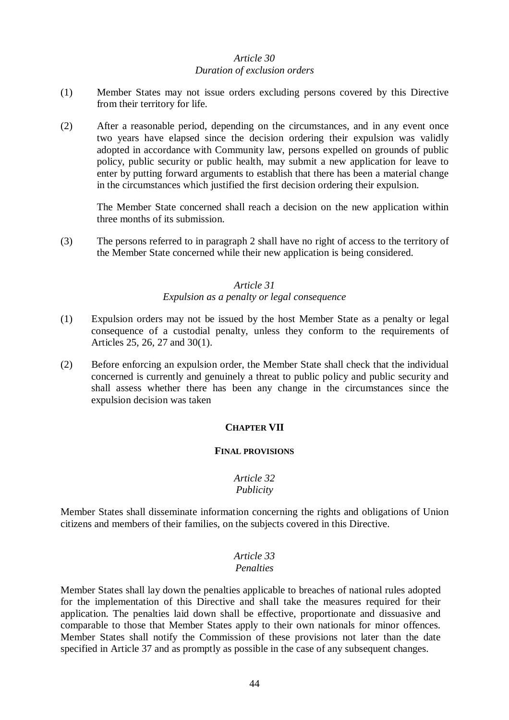## *Article 30 Duration of exclusion orders*

- (1) Member States may not issue orders excluding persons covered by this Directive from their territory for life.
- (2) After a reasonable period, depending on the circumstances, and in any event once two years have elapsed since the decision ordering their expulsion was validly adopted in accordance with Community law, persons expelled on grounds of public policy, public security or public health, may submit a new application for leave to enter by putting forward arguments to establish that there has been a material change in the circumstances which justified the first decision ordering their expulsion.

The Member State concerned shall reach a decision on the new application within three months of its submission.

(3) The persons referred to in paragraph 2 shall have no right of access to the territory of the Member State concerned while their new application is being considered.

#### *Article 31 Expulsion as a penalty or legal consequence*

- (1) Expulsion orders may not be issued by the host Member State as a penalty or legal consequence of a custodial penalty, unless they conform to the requirements of Articles 25, 26, 27 and 30(1).
- (2) Before enforcing an expulsion order, the Member State shall check that the individual concerned is currently and genuinely a threat to public policy and public security and shall assess whether there has been any change in the circumstances since the expulsion decision was taken

#### **CHAPTER VII**

#### **FINAL PROVISIONS**

#### *Article 32 Publicity*

Member States shall disseminate information concerning the rights and obligations of Union citizens and members of their families, on the subjects covered in this Directive.

#### *Article 33 Penalties*

Member States shall lay down the penalties applicable to breaches of national rules adopted for the implementation of this Directive and shall take the measures required for their application. The penalties laid down shall be effective, proportionate and dissuasive and comparable to those that Member States apply to their own nationals for minor offences. Member States shall notify the Commission of these provisions not later than the date specified in Article 37 and as promptly as possible in the case of any subsequent changes.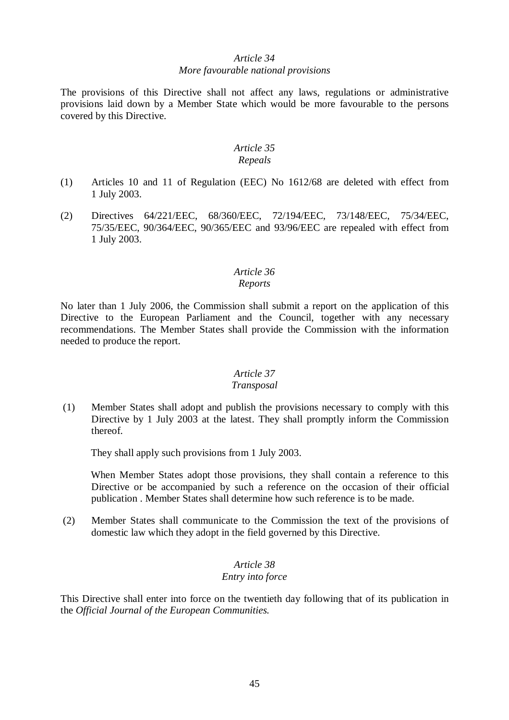#### *Article 34 More favourable national provisions*

The provisions of this Directive shall not affect any laws, regulations or administrative provisions laid down by a Member State which would be more favourable to the persons covered by this Directive.

#### *Article 35 Repeals*

- (1) Articles 10 and 11 of Regulation (EEC) No 1612/68 are deleted with effect from 1 July 2003.
- (2) Directives 64/221/EEC, 68/360/EEC, 72/194/EEC, 73/148/EEC, 75/34/EEC, 75/35/EEC, 90/364/EEC, 90/365/EEC and 93/96/EEC are repealed with effect from 1 July 2003.

# *Article 36*

## *Reports*

No later than 1 July 2006, the Commission shall submit a report on the application of this Directive to the European Parliament and the Council, together with any necessary recommendations. The Member States shall provide the Commission with the information needed to produce the report.

## *Article 37*

## *Transposal*

(1) Member States shall adopt and publish the provisions necessary to comply with this Directive by 1 July 2003 at the latest. They shall promptly inform the Commission thereof.

They shall apply such provisions from 1 July 2003.

When Member States adopt those provisions, they shall contain a reference to this Directive or be accompanied by such a reference on the occasion of their official publication . Member States shall determine how such reference is to be made.

(2) Member States shall communicate to the Commission the text of the provisions of domestic law which they adopt in the field governed by this Directive.

## *Article 38 Entry into force*

This Directive shall enter into force on the twentieth day following that of its publication in the *Official Journal of the European Communities.*